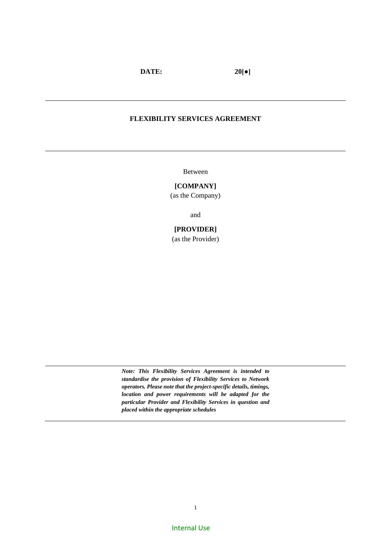**DATE: 20[●]**

### **FLEXIBILITY SERVICES AGREEMENT**

Between

### **[COMPANY]**

(as the Company)

and

### **[PROVIDER]**

(as the Provider)

*Note: This Flexibility Services Agreement is intended to standardise the provision of Flexibility Services to Network operators. Please note that the project-specific details, timings, location and power requirements will be adapted for the particular Provider and Flexibility Services in question and placed within the appropriate schedules*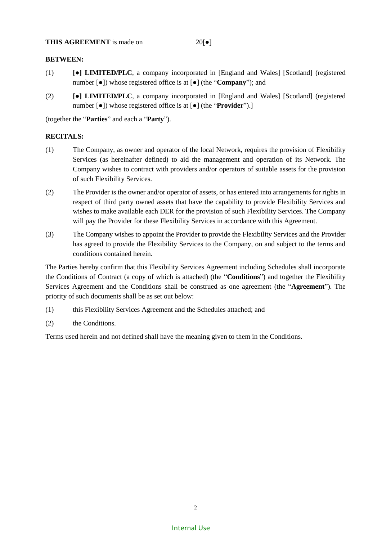**THIS AGREEMENT** is made on 20[●]

### **BETWEEN:**

- (1) **[●] LIMITED/PLC**, a company incorporated in [England and Wales] [Scotland] (registered number [●]) whose registered office is at [●] (the "**Company**"); and
- (2) **[●] LIMITED/PLC**, a company incorporated in [England and Wales] [Scotland] (registered number [●]) whose registered office is at [●] (the "**Provider**").]

(together the "**Parties**" and each a "**Party**").

### **RECITALS:**

- (1) The Company, as owner and operator of the local Network, requires the provision of Flexibility Services (as hereinafter defined) to aid the management and operation of its Network. The Company wishes to contract with providers and/or operators of suitable assets for the provision of such Flexibility Services.
- (2) The Provider is the owner and/or operator of assets, or has entered into arrangements for rights in respect of third party owned assets that have the capability to provide Flexibility Services and wishes to make available each DER for the provision of such Flexibility Services. The Company will pay the Provider for these Flexibility Services in accordance with this Agreement.
- (3) The Company wishes to appoint the Provider to provide the Flexibility Services and the Provider has agreed to provide the Flexibility Services to the Company, on and subject to the terms and conditions contained herein.

The Parties hereby confirm that this Flexibility Services Agreement including Schedules shall incorporate the Conditions of Contract (a copy of which is attached) (the "**Conditions**") and together the Flexibility Services Agreement and the Conditions shall be construed as one agreement (the "**Agreement**"). The priority of such documents shall be as set out below:

- (1) this Flexibility Services Agreement and the Schedules attached; and
- (2) the Conditions.

Terms used herein and not defined shall have the meaning given to them in the Conditions.

# Internal Use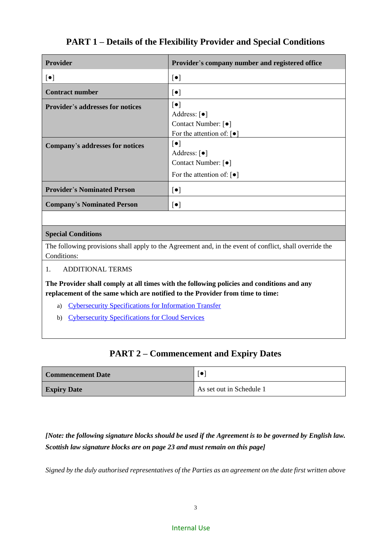# **PART 1 – Details of the Flexibility Provider and Special Conditions**

| <b>Provider</b>                         | Provider's company number and registered office                                                                                   |
|-----------------------------------------|-----------------------------------------------------------------------------------------------------------------------------------|
| $[\bullet]$                             | $[\bullet]$                                                                                                                       |
| <b>Contract number</b>                  | $[\bullet]$                                                                                                                       |
| <b>Provider's addresses for notices</b> | $[\bullet]$<br>Address: $\lceil \bullet \rceil$<br>Contact Number: [ $\bullet$ ]<br>For the attention of: $\lceil \bullet \rceil$ |
| Company's addresses for notices         | $[\bullet]$<br>Address: $\lceil \bullet \rceil$<br>Contact Number: [ $\bullet$ ]<br>For the attention of: $\lceil \bullet \rceil$ |
| <b>Provider's Nominated Person</b>      | $[\bullet]$                                                                                                                       |
| <b>Company's Nominated Person</b>       | $[\bullet]$                                                                                                                       |

# **Special Conditions**

The following provisions shall apply to the Agreement and, in the event of conflict, shall override the Conditions:

### 1. ADDITIONAL TERMS

**The Provider shall comply at all times with the following policies and conditions and any replacement of the same which are notified to the Provider from time to time:**

- a) [Cybersecurity Specifications for Information Transfer](http://portal.corp.iberdrola.com/wps/wcm/myconnect/empleado/d38e7a24-3a87-4777-b570-bb7efe092da8/GlobalProtectionInformationRule.pdf?MOD=AJPERES&CVID=mYz3hKD&CVID=mYz3hKD&CVID=mYz3hKD&CVID=mYz3hKD&CVID=mYz3hKD&CVID=mYz3hKD&CVID=mYz3hKD&CVID=mYz3hKD&CVID=mYz3hKD&CVID=mYz3hKD&CVID=mYz3hKD&CVID=mYz3hKD&CVID=mYz3hKD&CVID=mYz3hKD&CVID=mYz3hKD&CVID=mYz3hKD&CVID=mYz3hKD&CVID=mYz3hKD&CVID=mYz3hKD&CVID=mYz3hKD&CVID=mWI3S6Z&CVID=mWI3S6Z&CVID=mWI3S6Z&CVID=mWI3S6Z&CVID=mWI3S6Z&CVID=mWI3S6Z)
- b) [Cybersecurity Specifications for Cloud Services](http://portal.corp.iberdrola.com/wps/wcm/myconnect/empleado/4334632a-6a91-43e8-b6fe-cac7287bd8fd/EN_Global+Cloud+Security_v2.pdf?MOD=AJPERES&CVID=mvfHNon&CVID=mvfHNon&CVID=mvfHNon&CVID=mvfHNon&CVID=mvfHNon&CVID=mvfHNon&CVID=mvfHNon&CVID=mvfHNon&CVID=mvfHNon&CVID=mvfHNon&CVID=mvfHNon&CVID=mvfHNon&CVID=mvfHNon&CVID=mvfHNon&CVID=mvfHNon&CVID=mvfHNon&CVID=mvfHNon&CVID=mvfHNon&CVID=mvfHNon&CVID=mvfHNon&CVID=mvfHNon&CVID=mvfHNon&CVID=mvfHNon&CVID=mvfHNon&CVID=mvfHNon&CVID=mvfHNon&CVID=mvfHNon&CVID=mvfHNon&CVID=mvfHNon&CVID=mvfHNon&CVID=mvfHNon&CVID=mvfHNon&CVID=mvfHNon&CVID=mvfHNon&CVID=mvfHNon&CVID=mvfHNon&CVID=mvfHNon&CVID=lOwVMC0&CVID=lOwVMC0&CVID=lOwVMC0&CVID=lOwVMC0&CVID=lOwVMC0&CVID=lOwVMC0&CVID=lOwVMC0&CVID=lOwVMC0&CVID=lOwVMC0&CVID=lOwVMC0&CVID=lOwVMC0&CVID=lOwVMC0&CVID=lOwVMC0&CVID=lOwVMC0&CVID=lOwVMC0&CVID=lOwVMC0&CVID=lOwVMC0&CVID=lOwVMC0&CVID=lOwVMC0&CVID=lOwVMC0&CVID=lOwVMC0&CVID=lOwVMC0&CVID=lOwVMC0&CVID=lOwVMC0)

# **PART 2 – Commencement and Expiry Dates**

| <b>Commencement Date</b> | $\lceil \bullet \rceil$  |  |
|--------------------------|--------------------------|--|
| <b>Expiry Date</b>       | As set out in Schedule 1 |  |

*[Note: the following signature blocks should be used if the Agreement is to be governed by English law. Scottish law signature blocks are on page 23 and must remain on this page]*

*Signed by the duly authorised representatives of the Parties as an agreement on the date first written above*

### Internal Use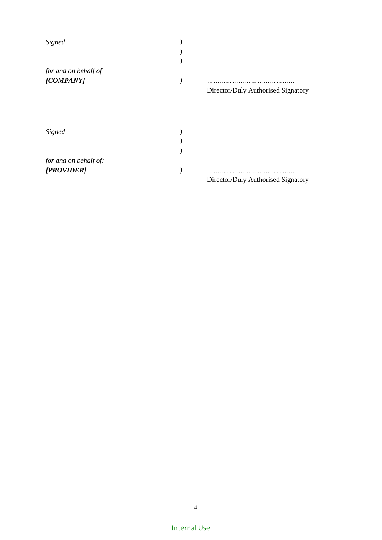| Signed                |                                    |
|-----------------------|------------------------------------|
|                       |                                    |
|                       |                                    |
| for and on behalf of  |                                    |
| [COMPANY]             |                                    |
|                       | Director/Duly Authorised Signatory |
|                       |                                    |
| Signed                |                                    |
|                       |                                    |
|                       |                                    |
| for and on behalf of: |                                    |
| [PROVIDER]            |                                    |
|                       | Director/Duly Authorised Signatory |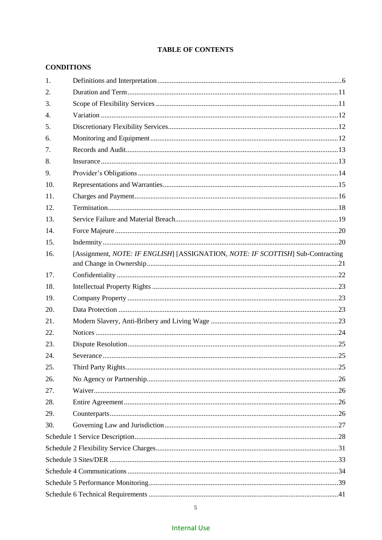# **TABLE OF CONTENTS**

# **CONDITIONS**

| 1.  |                                                                                 |  |  |  |
|-----|---------------------------------------------------------------------------------|--|--|--|
| 2.  |                                                                                 |  |  |  |
| 3.  |                                                                                 |  |  |  |
| 4.  |                                                                                 |  |  |  |
| 5.  |                                                                                 |  |  |  |
| 6.  |                                                                                 |  |  |  |
| 7.  |                                                                                 |  |  |  |
| 8.  |                                                                                 |  |  |  |
| 9.  |                                                                                 |  |  |  |
| 10. |                                                                                 |  |  |  |
| 11. |                                                                                 |  |  |  |
| 12. |                                                                                 |  |  |  |
| 13. |                                                                                 |  |  |  |
| 14. |                                                                                 |  |  |  |
| 15. |                                                                                 |  |  |  |
| 16. | [Assignment, NOTE: IF ENGLISH] [ASSIGNATION, NOTE: IF SCOTTISH] Sub-Contracting |  |  |  |
| 17. |                                                                                 |  |  |  |
| 18. |                                                                                 |  |  |  |
| 19. |                                                                                 |  |  |  |
| 20. |                                                                                 |  |  |  |
| 21. |                                                                                 |  |  |  |
| 22. |                                                                                 |  |  |  |
| 23. |                                                                                 |  |  |  |
| 24. |                                                                                 |  |  |  |
| 25. |                                                                                 |  |  |  |
| 26. |                                                                                 |  |  |  |
| 27. |                                                                                 |  |  |  |
| 28. |                                                                                 |  |  |  |
| 29. |                                                                                 |  |  |  |
| 30. |                                                                                 |  |  |  |
|     |                                                                                 |  |  |  |
|     |                                                                                 |  |  |  |
|     |                                                                                 |  |  |  |
|     |                                                                                 |  |  |  |
|     |                                                                                 |  |  |  |
|     |                                                                                 |  |  |  |

 $5\overline{)}$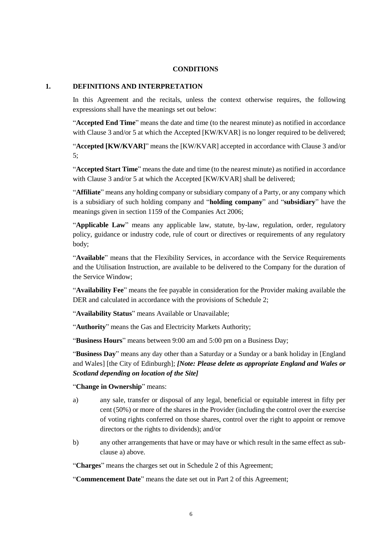### **CONDITIONS**

### **1. DEFINITIONS AND INTERPRETATION**

In this Agreement and the recitals, unless the context otherwise requires, the following expressions shall have the meanings set out below:

"**Accepted End Time**" means the date and time (to the nearest minute) as notified in accordance with Clause 3 and/or 5 at which the Accepted [KW/KVAR] is no longer required to be delivered;

"**Accepted [KW/KVAR]**" means the [KW/KVAR] accepted in accordance with Clause 3 and/or 5;

"**Accepted Start Time**" means the date and time (to the nearest minute) as notified in accordance with Clause 3 and/or 5 at which the Accepted [KW/KVAR] shall be delivered;

"**Affiliate**" means any holding company or subsidiary company of a Party, or any company which is a subsidiary of such holding company and "**holding company**" and "**subsidiary**" have the meanings given in section 1159 of the Companies Act 2006;

"**Applicable Law**" means any applicable law, statute, by-law, regulation, order, regulatory policy, guidance or industry code, rule of court or directives or requirements of any regulatory body;

"**Available**" means that the Flexibility Services, in accordance with the Service Requirements and the Utilisation Instruction, are available to be delivered to the Company for the duration of the Service Window;

"**Availability Fee**" means the fee payable in consideration for the Provider making available the DER and calculated in accordance with the provisions of Schedule 2;

"**Availability Status**" means Available or Unavailable;

"**Authority**" means the Gas and Electricity Markets Authority;

"**Business Hours**" means between 9:00 am and 5:00 pm on a Business Day;

"**Business Day**" means any day other than a Saturday or a Sunday or a bank holiday in [England and Wales] [the City of Edinburgh]; *[Note: Please delete as appropriate England and Wales or Scotland depending on location of the Site]*

### "**Change in Ownership**" means:

- a) any sale, transfer or disposal of any legal, beneficial or equitable interest in fifty per cent (50%) or more of the shares in the Provider (including the control over the exercise of voting rights conferred on those shares, control over the right to appoint or remove directors or the rights to dividends); and/or
- b) any other arrangements that have or may have or which result in the same effect as subclause a) above.

"**Charges**" means the charges set out in Schedule 2 of this Agreement;

"**Commencement Date**" means the date set out in Part 2 of this Agreement;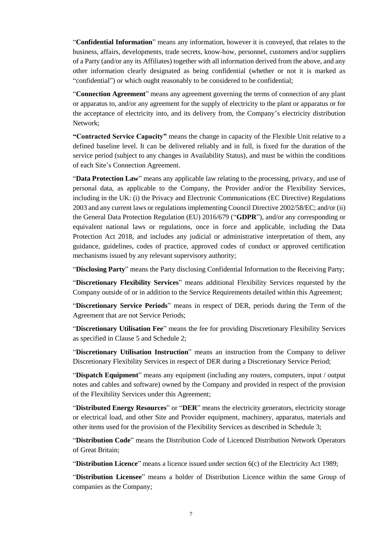"**Confidential Information**" means any information, however it is conveyed, that relates to the business, affairs, developments, trade secrets, know-how, personnel, customers and/or suppliers of a Party (and/or any its Affiliates) together with all information derived from the above, and any other information clearly designated as being confidential (whether or not it is marked as "confidential") or which ought reasonably to be considered to be confidential;

"**Connection Agreement**" means any agreement governing the terms of connection of any plant or apparatus to, and/or any agreement for the supply of electricity to the plant or apparatus or for the acceptance of electricity into, and its delivery from, the Company's electricity distribution Network;

**"Contracted Service Capacity"** means the change in capacity of the Flexible Unit relative to a defined baseline level. It can be delivered reliably and in full, is fixed for the duration of the service period (subject to any changes in Availability Status), and must be within the conditions of each Site's Connection Agreement.

"**Data Protection Law**" means any applicable law relating to the processing, privacy, and use of personal data, as applicable to the Company, the Provider and/or the Flexibility Services, including in the UK: (i) the Privacy and Electronic Communications (EC Directive) Regulations 2003 and any current laws or regulations implementing Council Directive 2002/58/EC; and/or (ii) the General Data Protection Regulation (EU) 2016/679 ("**GDPR**"), and/or any corresponding or equivalent national laws or regulations, once in force and applicable, including the Data Protection Act 2018, and includes any judicial or administrative interpretation of them, any guidance, guidelines, codes of practice, approved codes of conduct or approved certification mechanisms issued by any relevant supervisory authority;

"**Disclosing Party**" means the Party disclosing Confidential Information to the Receiving Party;

"**Discretionary Flexibility Services**" means additional Flexibility Services requested by the Company outside of or in addition to the Service Requirements detailed within this Agreement;

"**Discretionary Service Periods**" means in respect of DER, periods during the Term of the Agreement that are not Service Periods;

"**Discretionary Utilisation Fee**" means the fee for providing Discretionary Flexibility Services as specified in Clause 5 and Schedule 2;

"**Discretionary Utilisation Instruction**" means an instruction from the Company to deliver Discretionary Flexibility Services in respect of DER during a Discretionary Service Period;

"**Dispatch Equipment**" means any equipment (including any routers, computers, input / output notes and cables and software) owned by the Company and provided in respect of the provision of the Flexibility Services under this Agreement;

"**Distributed Energy Resources**" or "**DER**" means the electricity generators, electricity storage or electrical load, and other Site and Provider equipment, machinery, apparatus, materials and other items used for the provision of the Flexibility Services as described in Schedule 3;

"**Distribution Code**" means the Distribution Code of Licenced Distribution Network Operators of Great Britain;

"**Distribution Licence**" means a licence issued under section 6(c) of the Electricity Act 1989;

"**Distribution Licensee**" means a holder of Distribution Licence within the same Group of companies as the Company;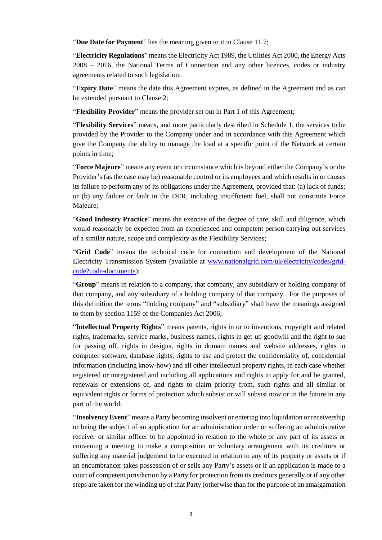"**Due Date for Payment**" has the meaning given to it in Clause 11.7;

"**Electricity Regulations**" means the Electricity Act 1989, the Utilities Act 2000, the Energy Acts 2008 – 2016, the National Terms of Connection and any other licences, codes or industry agreements related to such legislation;

"**Expiry Date**" means the date this Agreement expires, as defined in the Agreement and as can be extended pursuant to Clause 2;

"**Flexibility Provider**" means the provider set out in Part 1 of this Agreement;

"**Flexibility Services**" means, and more particularly described in Schedule 1, the services to be provided by the Provider to the Company under and in accordance with this Agreement which give the Company the ability to manage the load at a specific point of the Network at certain points in time;

"**Force Majeure**" means any event or circumstance which is beyond either the Company's or the Provider's (as the case may be) reasonable control or its employees and which results in or causes its failure to perform any of its obligations under the Agreement, provided that: (a) lack of funds; or (b) any failure or fault in the DER, including insufficient fuel, shall not constitute Force Majeure;

"**Good Industry Practice**" means the exercise of the degree of care, skill and diligence, which would reasonably be expected from an experienced and competent person carrying out services of a similar nature, scope and complexity as the Flexibility Services;

"**Grid Code**" means the technical code for connection and development of the National Electricity Transmission System (available at www.nationalgrid.com/uk/electricity/codes/gridcode?code-documents);

"**Group**" means in relation to a company, that company, any subsidiary or holding company of that company, and any subsidiary of a holding company of that company. For the purposes of this definition the terms "holding company" and "subsidiary" shall have the meanings assigned to them by section 1159 of the Companies Act 2006;

"**Intellectual Property Rights**" means patents, rights in or to inventions, copyright and related rights, trademarks, service marks, business names, rights in get-up goodwill and the right to sue for passing off, rights in designs, rights in domain names and website addresses, rights in computer software, database rights, rights to use and protect the confidentiality of, confidential information (including know-how) and all other intellectual property rights, in each case whether registered or unregistered and including all applications and rights to apply for and be granted, renewals or extensions of, and rights to claim priority from, such rights and all similar or equivalent rights or forms of protection which subsist or will subsist now or in the future in any part of the world;

"**Insolvency Event**" means a Party becoming insolvent or entering into liquidation or receivership or being the subject of an application for an administration order or suffering an administrative receiver or similar officer to be appointed in relation to the whole or any part of its assets or convening a meeting to make a composition or voluntary arrangement with its creditors or suffering any material judgement to be executed in relation to any of its property or assets or if an encumbrancer takes possession of or sells any Party's assets or if an application is made to a court of competent jurisdiction by a Party for protection from its creditors generally or if any other steps are taken for the winding up of that Party (otherwise than for the purpose of an amalgamation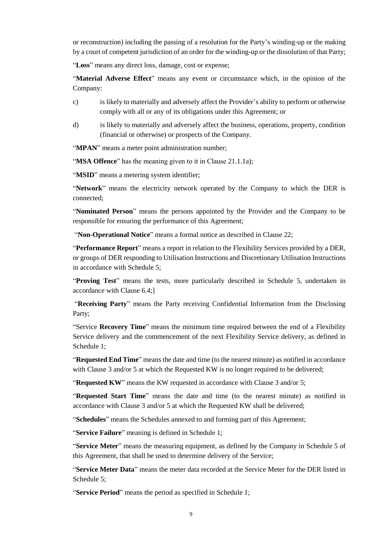or reconstruction) including the passing of a resolution for the Party's winding-up or the making by a court of competent jurisdiction of an order for the winding-up or the dissolution of that Party;

"**Loss**" means any direct loss, damage, cost or expense;

"**Material Adverse Effect**" means any event or circumstance which, in the opinion of the Company:

- c) is likely to materially and adversely affect the Provider's ability to perform or otherwise comply with all or any of its obligations under this Agreement; or
- d) is likely to materially and adversely affect the business, operations, property, condition (financial or otherwise) or prospects of the Company.

"**MPAN**" means a meter point administration number;

"**MSA Offence**" has the meaning given to it in Clause 21.1.1a);

"**MSID**" means a metering system identifier;

"**Network**" means the electricity network operated by the Company to which the DER is connected;

"**Nominated Person**" means the persons appointed by the Provider and the Company to be responsible for ensuring the performance of this Agreement;

"**Non-Operational Notice**" means a formal notice as described in Clause 22;

"**Performance Report**" means a report in relation to the Flexibility Services provided by a DER, or groups of DER responding to Utilisation Instructions and Discretionary Utilisation Instructions in accordance with Schedule 5;

"**Proving Test**" means the tests, more particularly described in Schedule 5, undertaken in accordance with Clause 6.4;]

"**Receiving Party**" means the Party receiving Confidential Information from the Disclosing Party;

"Service **Recovery Time**" means the minimum time required between the end of a Flexibility Service delivery and the commencement of the next Flexibility Service delivery, as defined in Schedule 1;

"**Requested End Time**" means the date and time (to the nearest minute) as notified in accordance with Clause 3 and/or 5 at which the Requested KW is no longer required to be delivered;

"**Requested KW**" means the KW requested in accordance with Clause 3 and/or 5;

"**Requested Start Time**" means the date and time (to the nearest minute) as notified in accordance with Clause 3 and/or 5 at which the Requested KW shall be delivered;

"**Schedules**" means the Schedules annexed to and forming part of this Agreement;

"**Service Failure**" meaning is defined in Schedule 1;

"**Service Meter**" means the measuring equipment, as defined by the Company in Schedule 5 of this Agreement, that shall be used to determine delivery of the Service;

"**Service Meter Data**" means the meter data recorded at the Service Meter for the DER listed in Schedule 5;

"**Service Period**" means the period as specified in Schedule 1;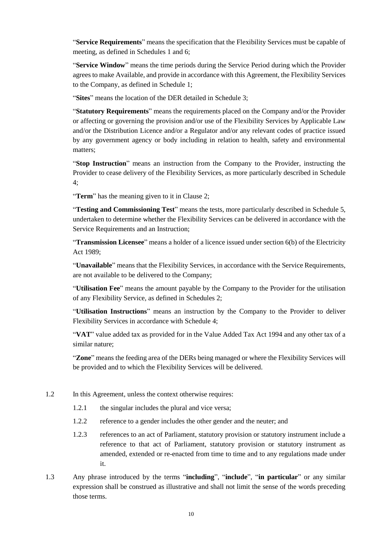"**Service Requirements**" means the specification that the Flexibility Services must be capable of meeting, as defined in Schedules 1 and 6;

"**Service Window**" means the time periods during the Service Period during which the Provider agrees to make Available, and provide in accordance with this Agreement, the Flexibility Services to the Company, as defined in Schedule 1;

"**Sites**" means the location of the DER detailed in Schedule 3;

"**Statutory Requirements**" means the requirements placed on the Company and/or the Provider or affecting or governing the provision and/or use of the Flexibility Services by Applicable Law and/or the Distribution Licence and/or a Regulator and/or any relevant codes of practice issued by any government agency or body including in relation to health, safety and environmental matters;

"**Stop Instruction**" means an instruction from the Company to the Provider, instructing the Provider to cease delivery of the Flexibility Services, as more particularly described in Schedule 4;

"**Term**" has the meaning given to it in Clause 2;

"**Testing and Commissioning Test**" means the tests, more particularly described in Schedule 5, undertaken to determine whether the Flexibility Services can be delivered in accordance with the Service Requirements and an Instruction;

"**Transmission Licensee**" means a holder of a licence issued under section 6(b) of the Electricity Act 1989;

"**Unavailable**" means that the Flexibility Services, in accordance with the Service Requirements, are not available to be delivered to the Company;

"**Utilisation Fee**" means the amount payable by the Company to the Provider for the utilisation of any Flexibility Service, as defined in Schedules 2;

"**Utilisation Instructions**" means an instruction by the Company to the Provider to deliver Flexibility Services in accordance with Schedule 4;

"**VAT**" value added tax as provided for in the Value Added Tax Act 1994 and any other tax of a similar nature;

"**Zone**" means the feeding area of the DERs being managed or where the Flexibility Services will be provided and to which the Flexibility Services will be delivered.

- 1.2 In this Agreement, unless the context otherwise requires:
	- 1.2.1 the singular includes the plural and vice versa;
	- 1.2.2 reference to a gender includes the other gender and the neuter; and
	- 1.2.3 references to an act of Parliament, statutory provision or statutory instrument include a reference to that act of Parliament, statutory provision or statutory instrument as amended, extended or re-enacted from time to time and to any regulations made under it.
- 1.3 Any phrase introduced by the terms "**including**", "**include**", "**in particular**" or any similar expression shall be construed as illustrative and shall not limit the sense of the words preceding those terms.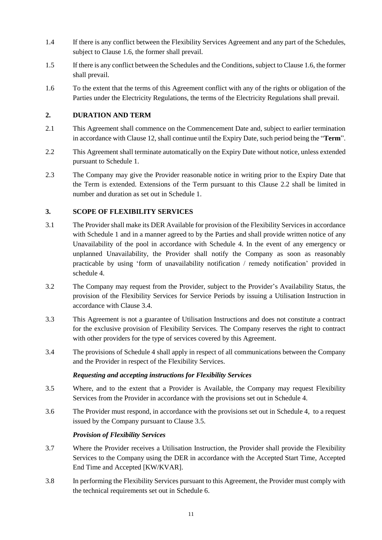- 1.4 If there is any conflict between the Flexibility Services Agreement and any part of the Schedules, subject to Clause 1.6, the former shall prevail.
- 1.5 If there is any conflict between the Schedules and the Conditions, subject to Clause 1.6, the former shall prevail.
- 1.6 To the extent that the terms of this Agreement conflict with any of the rights or obligation of the Parties under the Electricity Regulations, the terms of the Electricity Regulations shall prevail.

### **2. DURATION AND TERM**

- 2.1 This Agreement shall commence on the Commencement Date and, subject to earlier termination in accordance with Clause 12, shall continue until the Expiry Date, such period being the "**Term**".
- 2.2 This Agreement shall terminate automatically on the Expiry Date without notice, unless extended pursuant to Schedule 1.
- 2.3 The Company may give the Provider reasonable notice in writing prior to the Expiry Date that the Term is extended. Extensions of the Term pursuant to this Clause 2.2 shall be limited in number and duration as set out in Schedule 1.

### **3. SCOPE OF FLEXIBILITY SERVICES**

- 3.1 The Provider shall make its DER Available for provision of the Flexibility Services in accordance with Schedule 1 and in a manner agreed to by the Parties and shall provide written notice of any Unavailability of the pool in accordance with Schedule 4. In the event of any emergency or unplanned Unavailability, the Provider shall notify the Company as soon as reasonably practicable by using 'form of unavailability notification / remedy notification' provided in schedule 4.
- 3.2 The Company may request from the Provider, subject to the Provider's Availability Status, the provision of the Flexibility Services for Service Periods by issuing a Utilisation Instruction in accordance with Clause 3.4.
- 3.3 This Agreement is not a guarantee of Utilisation Instructions and does not constitute a contract for the exclusive provision of Flexibility Services. The Company reserves the right to contract with other providers for the type of services covered by this Agreement.
- 3.4 The provisions of Schedule 4 shall apply in respect of all communications between the Company and the Provider in respect of the Flexibility Services.

### *Requesting and accepting instructions for Flexibility Services*

- 3.5 Where, and to the extent that a Provider is Available, the Company may request Flexibility Services from the Provider in accordance with the provisions set out in Schedule 4.
- <span id="page-10-0"></span>3.6 The Provider must respond, in accordance with the provisions set out in [Schedule 4,](#page-37-0) to a request issued by the Company pursuant to Clause 3.5.

### *Provision of Flexibility Services*

- 3.7 Where the Provider receives a Utilisation Instruction, the Provider shall provide the Flexibility Services to the Company using the DER in accordance with the Accepted Start Time, Accepted End Time and Accepted [KW/KVAR].
- 3.8 In performing the Flexibility Services pursuant to this Agreement, the Provider must comply with the technical requirements set out in Schedule 6.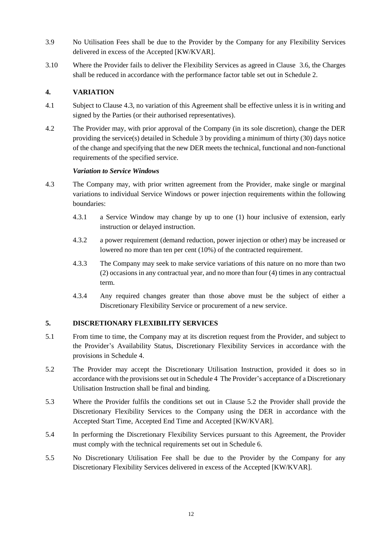- 3.9 No Utilisation Fees shall be due to the Provider by the Company for any Flexibility Services delivered in excess of the Accepted [KW/KVAR].
- 3.10 Where the Provider fails to deliver the Flexibility Services as agreed in Clause [3.6,](#page-10-0) the Charges shall be reduced in accordance with the performance factor table set out in Schedule 2.

# **4. VARIATION**

- 4.1 Subject to Clause 4.3, no variation of this Agreement shall be effective unless it is in writing and signed by the Parties (or their authorised representatives).
- 4.2 The Provider may, with prior approval of the Company (in its sole discretion), change the DER providing the service(s) detailed in Schedule 3 by providing a minimum of thirty (30) days notice of the change and specifying that the new DER meets the technical, functional and non-functional requirements of the specified service.

### *Variation to Service Windows*

- 4.3 The Company may, with prior written agreement from the Provider, make single or marginal variations to individual Service Windows or power injection requirements within the following boundaries:
	- 4.3.1 a Service Window may change by up to one (1) hour inclusive of extension, early instruction or delayed instruction.
	- 4.3.2 a power requirement (demand reduction, power injection or other) may be increased or lowered no more than ten per cent (10%) of the contracted requirement.
	- 4.3.3 The Company may seek to make service variations of this nature on no more than two (2) occasions in any contractual year, and no more than four (4) times in any contractual term.
	- 4.3.4 Any required changes greater than those above must be the subject of either a Discretionary Flexibility Service or procurement of a new service.

### **5. DISCRETIONARY FLEXIBILITY SERVICES**

- 5.1 From time to time, the Company may at its discretion request from the Provider, and subject to the Provider's Availability Status, Discretionary Flexibility Services in accordance with the provisions in Schedule 4.
- <span id="page-11-0"></span>5.2 The Provider may accept the Discretionary Utilisation Instruction, provided it does so in accordance with the provisions set out i[n Schedule 4](#page-37-0) The Provider's acceptance of a Discretionary Utilisation Instruction shall be final and binding.
- 5.3 Where the Provider fulfils the conditions set out in Clause [5.2](#page-11-0) the Provider shall provide the Discretionary Flexibility Services to the Company using the DER in accordance with the Accepted Start Time, Accepted End Time and Accepted [KW/KVAR].
- 5.4 In performing the Discretionary Flexibility Services pursuant to this Agreement, the Provider must comply with the technical requirements set out in Schedule 6.
- 5.5 No Discretionary Utilisation Fee shall be due to the Provider by the Company for any Discretionary Flexibility Services delivered in excess of the Accepted [KW/KVAR].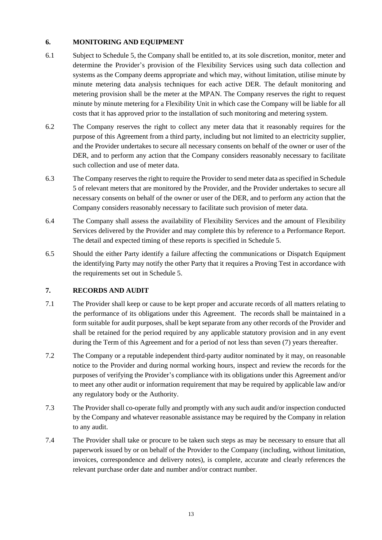# **6. MONITORING AND EQUIPMENT**

- 6.1 Subject to Schedule 5, the Company shall be entitled to, at its sole discretion, monitor, meter and determine the Provider's provision of the Flexibility Services using such data collection and systems as the Company deems appropriate and which may, without limitation, utilise minute by minute metering data analysis techniques for each active DER. The default monitoring and metering provision shall be the meter at the MPAN. The Company reserves the right to request minute by minute metering for a Flexibility Unit in which case the Company will be liable for all costs that it has approved prior to the installation of such monitoring and metering system.
- 6.2 The Company reserves the right to collect any meter data that it reasonably requires for the purpose of this Agreement from a third party, including but not limited to an electricity supplier, and the Provider undertakes to secure all necessary consents on behalf of the owner or user of the DER, and to perform any action that the Company considers reasonably necessary to facilitate such collection and use of meter data.
- 6.3 The Company reserves the right to require the Provider to send meter data as specified in Schedule 5 of relevant meters that are monitored by the Provider, and the Provider undertakes to secure all necessary consents on behalf of the owner or user of the DER, and to perform any action that the Company considers reasonably necessary to facilitate such provision of meter data.
- 6.4 The Company shall assess the availability of Flexibility Services and the amount of Flexibility Services delivered by the Provider and may complete this by reference to a Performance Report. The detail and expected timing of these reports is specified in Schedule 5.
- 6.5 Should the either Party identify a failure affecting the communications or Dispatch Equipment the identifying Party may notify the other Party that it requires a Proving Test in accordance with the requirements set out in Schedule 5.

### **7. RECORDS AND AUDIT**

- 7.1 The Provider shall keep or cause to be kept proper and accurate records of all matters relating to the performance of its obligations under this Agreement. The records shall be maintained in a form suitable for audit purposes, shall be kept separate from any other records of the Provider and shall be retained for the period required by any applicable statutory provision and in any event during the Term of this Agreement and for a period of not less than seven (7) years thereafter.
- 7.2 The Company or a reputable independent third-party auditor nominated by it may, on reasonable notice to the Provider and during normal working hours, inspect and review the records for the purposes of verifying the Provider's compliance with its obligations under this Agreement and/or to meet any other audit or information requirement that may be required by applicable law and/or any regulatory body or the Authority.
- 7.3 The Provider shall co-operate fully and promptly with any such audit and/or inspection conducted by the Company and whatever reasonable assistance may be required by the Company in relation to any audit.
- 7.4 The Provider shall take or procure to be taken such steps as may be necessary to ensure that all paperwork issued by or on behalf of the Provider to the Company (including, without limitation, invoices, correspondence and delivery notes), is complete, accurate and clearly references the relevant purchase order date and number and/or contract number.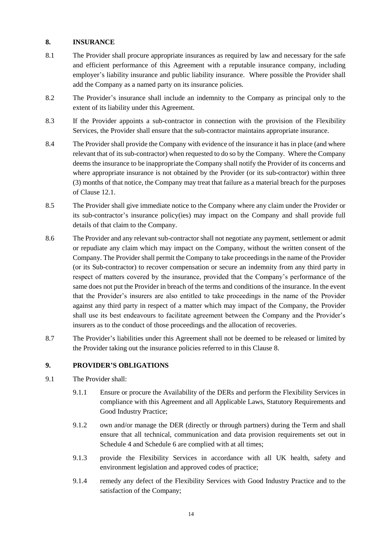### **8. INSURANCE**

- 8.1 The Provider shall procure appropriate insurances as required by law and necessary for the safe and efficient performance of this Agreement with a reputable insurance company, including employer's liability insurance and public liability insurance. Where possible the Provider shall add the Company as a named party on its insurance policies.
- 8.2 The Provider's insurance shall include an indemnity to the Company as principal only to the extent of its liability under this Agreement.
- 8.3 If the Provider appoints a sub-contractor in connection with the provision of the Flexibility Services, the Provider shall ensure that the sub-contractor maintains appropriate insurance.
- 8.4 The Provider shall provide the Company with evidence of the insurance it has in place (and where relevant that of its sub-contractor) when requested to do so by the Company. Where the Company deems the insurance to be inappropriate the Company shall notify the Provider of its concerns and where appropriate insurance is not obtained by the Provider (or its sub-contractor) within three (3) months of that notice, the Company may treat that failure as a material breach for the purposes of Clause 12.1.
- 8.5 The Provider shall give immediate notice to the Company where any claim under the Provider or its sub-contractor's insurance policy(ies) may impact on the Company and shall provide full details of that claim to the Company.
- 8.6 The Provider and any relevant sub-contractor shall not negotiate any payment, settlement or admit or repudiate any claim which may impact on the Company, without the written consent of the Company. The Provider shall permit the Company to take proceedings in the name of the Provider (or its Sub-contractor) to recover compensation or secure an indemnity from any third party in respect of matters covered by the insurance, provided that the Company's performance of the same does not put the Provider in breach of the terms and conditions of the insurance. In the event that the Provider's insurers are also entitled to take proceedings in the name of the Provider against any third party in respect of a matter which may impact of the Company, the Provider shall use its best endeavours to facilitate agreement between the Company and the Provider's insurers as to the conduct of those proceedings and the allocation of recoveries.
- 8.7 The Provider's liabilities under this Agreement shall not be deemed to be released or limited by the Provider taking out the insurance policies referred to in this Clause 8.

### **9. PROVIDER'S OBLIGATIONS**

- 9.1 The Provider shall:
	- 9.1.1 Ensure or procure the Availability of the DERs and perform the Flexibility Services in compliance with this Agreement and all Applicable Laws, Statutory Requirements and Good Industry Practice;
	- 9.1.2 own and/or manage the DER (directly or through partners) during the Term and shall ensure that all technical, communication and data provision requirements set out in Schedule 4 and Schedule 6 are complied with at all times;
	- 9.1.3 provide the Flexibility Services in accordance with all UK health, safety and environment legislation and approved codes of practice;
	- 9.1.4 remedy any defect of the Flexibility Services with Good Industry Practice and to the satisfaction of the Company;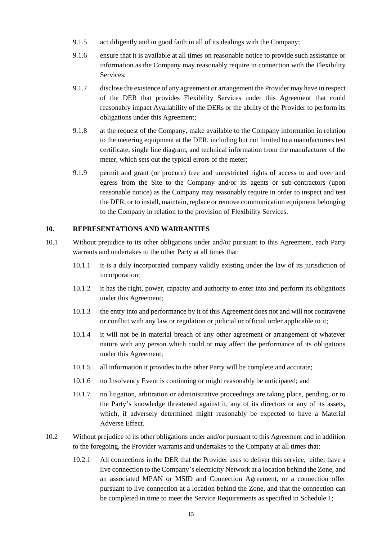- 9.1.5 act diligently and in good faith in all of its dealings with the Company;
- 9.1.6 ensure that it is available at all times on reasonable notice to provide such assistance or information as the Company may reasonably require in connection with the Flexibility Services;
- 9.1.7 disclose the existence of any agreement or arrangement the Provider may have in respect of the DER that provides Flexibility Services under this Agreement that could reasonably impact Availability of the DERs or the ability of the Provider to perform its obligations under this Agreement;
- 9.1.8 at the request of the Company, make available to the Company information in relation to the metering equipment at the DER, including but not limited to a manufacturers test certificate, single line diagram, and technical information from the manufacturer of the meter, which sets out the typical errors of the meter;
- 9.1.9 permit and grant (or procure) free and unrestricted rights of access to and over and egress from the Site to the Company and/or its agents or sub-contractors (upon reasonable notice) as the Company may reasonably require in order to inspect and test the DER, or to install, maintain, replace or remove communication equipment belonging to the Company in relation to the provision of Flexibility Services.

### **10. REPRESENTATIONS AND WARRANTIES**

- 10.1 Without prejudice to its other obligations under and/or pursuant to this Agreement, each Party warrants and undertakes to the other Party at all times that:
	- 10.1.1 it is a duly incorporated company validly existing under the law of its jurisdiction of incorporation;
	- 10.1.2 it has the right, power, capacity and authority to enter into and perform its obligations under this Agreement;
	- 10.1.3 the entry into and performance by it of this Agreement does not and will not contravene or conflict with any law or regulation or judicial or official order applicable to it;
	- 10.1.4 it will not be in material breach of any other agreement or arrangement of whatever nature with any person which could or may affect the performance of its obligations under this Agreement;
	- 10.1.5 all information it provides to the other Party will be complete and accurate;
	- 10.1.6 no Insolvency Event is continuing or might reasonably be anticipated; and
	- 10.1.7 no litigation, arbitration or administrative proceedings are taking place, pending, or to the Party's knowledge threatened against it, any of its directors or any of its assets, which, if adversely determined might reasonably be expected to have a Material Adverse Effect.
- 10.2 Without prejudice to its other obligations under and/or pursuant to this Agreement and in addition to the foregoing, the Provider warrants and undertakes to the Company at all times that:
	- 10.2.1 All connections in the DER that the Provider uses to deliver this service, either have a live connection to the Company's electricity Network at a location behind the Zone, and an associated MPAN or MSID and Connection Agreement, or a connection offer pursuant to live connection at a location behind the Zone, and that the connection can be completed in time to meet the Service Requirements as specified in Schedule 1;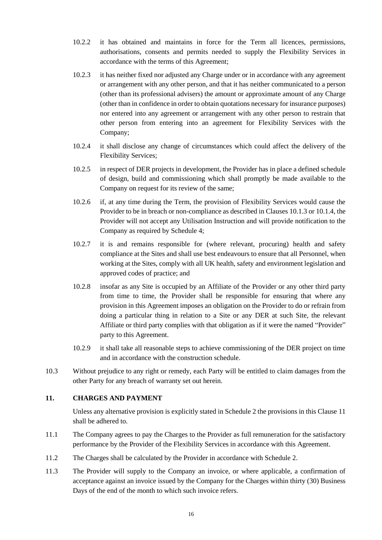- 10.2.2 it has obtained and maintains in force for the Term all licences, permissions, authorisations, consents and permits needed to supply the Flexibility Services in accordance with the terms of this Agreement;
- 10.2.3 it has neither fixed nor adjusted any Charge under or in accordance with any agreement or arrangement with any other person, and that it has neither communicated to a person (other than its professional advisers) the amount or approximate amount of any Charge (other than in confidence in order to obtain quotations necessary for insurance purposes) nor entered into any agreement or arrangement with any other person to restrain that other person from entering into an agreement for Flexibility Services with the Company;
- 10.2.4 it shall disclose any change of circumstances which could affect the delivery of the Flexibility Services;
- 10.2.5 in respect of DER projects in development, the Provider has in place a defined schedule of design, build and commissioning which shall promptly be made available to the Company on request for its review of the same;
- 10.2.6 if, at any time during the Term, the provision of Flexibility Services would cause the Provider to be in breach or non-compliance as described in Clauses 10.1.3 or 10.1.4, the Provider will not accept any Utilisation Instruction and will provide notification to the Company as required by Schedule 4;
- 10.2.7 it is and remains responsible for (where relevant, procuring) health and safety compliance at the Sites and shall use best endeavours to ensure that all Personnel, when working at the Sites, comply with all UK health, safety and environment legislation and approved codes of practice; and
- 10.2.8 insofar as any Site is occupied by an Affiliate of the Provider or any other third party from time to time, the Provider shall be responsible for ensuring that where any provision in this Agreement imposes an obligation on the Provider to do or refrain from doing a particular thing in relation to a Site or any DER at such Site, the relevant Affiliate or third party complies with that obligation as if it were the named "Provider" party to this Agreement.
- 10.2.9 it shall take all reasonable steps to achieve commissioning of the DER project on time and in accordance with the construction schedule.
- 10.3 Without prejudice to any right or remedy, each Party will be entitled to claim damages from the other Party for any breach of warranty set out herein.

### **11. CHARGES AND PAYMENT**

Unless any alternative provision is explicitly stated in Schedule 2 the provisions in this Clause 11 shall be adhered to.

- 11.1 The Company agrees to pay the Charges to the Provider as full remuneration for the satisfactory performance by the Provider of the Flexibility Services in accordance with this Agreement.
- 11.2 The Charges shall be calculated by the Provider in accordance with Schedule 2.
- 11.3 The Provider will supply to the Company an invoice, or where applicable, a confirmation of acceptance against an invoice issued by the Company for the Charges within thirty (30) Business Days of the end of the month to which such invoice refers.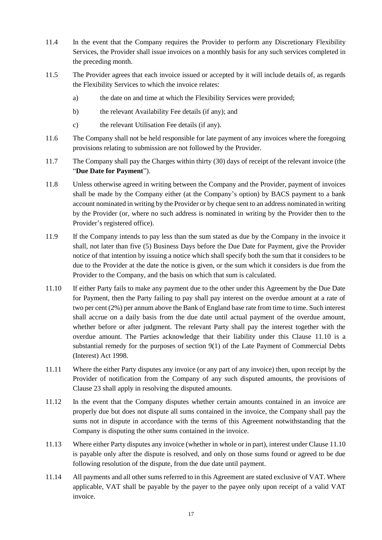- 11.4 In the event that the Company requires the Provider to perform any Discretionary Flexibility Services, the Provider shall issue invoices on a monthly basis for any such services completed in the preceding month.
- 11.5 The Provider agrees that each invoice issued or accepted by it will include details of, as regards the Flexibility Services to which the invoice relates:
	- a) the date on and time at which the Flexibility Services were provided;
	- b) the relevant Availability Fee details (if any); and
	- c) the relevant Utilisation Fee details (if any).
- 11.6 The Company shall not be held responsible for late payment of any invoices where the foregoing provisions relating to submission are not followed by the Provider.
- 11.7 The Company shall pay the Charges within thirty (30) days of receipt of the relevant invoice (the "**Due Date for Payment**").
- 11.8 Unless otherwise agreed in writing between the Company and the Provider, payment of invoices shall be made by the Company either (at the Company's option) by BACS payment to a bank account nominated in writing by the Provider or by cheque sent to an address nominated in writing by the Provider (or, where no such address is nominated in writing by the Provider then to the Provider's registered office).
- 11.9 If the Company intends to pay less than the sum stated as due by the Company in the invoice it shall, not later than five (5) Business Days before the Due Date for Payment, give the Provider notice of that intention by issuing a notice which shall specify both the sum that it considers to be due to the Provider at the date the notice is given, or the sum which it considers is due from the Provider to the Company, and the basis on which that sum is calculated.
- 11.10 If either Party fails to make any payment due to the other under this Agreement by the Due Date for Payment, then the Party failing to pay shall pay interest on the overdue amount at a rate of two per cent (2%) per annum above the Bank of England base rate from time to time. Such interest shall accrue on a daily basis from the due date until actual payment of the overdue amount, whether before or after judgment. The relevant Party shall pay the interest together with the overdue amount. The Parties acknowledge that their liability under this Clause 11.10 is a substantial remedy for the purposes of section 9(1) of the Late Payment of Commercial Debts (Interest) Act 1998.
- 11.11 Where the either Party disputes any invoice (or any part of any invoice) then, upon receipt by the Provider of notification from the Company of any such disputed amounts, the provisions of Clause 23 shall apply in resolving the disputed amounts.
- 11.12 In the event that the Company disputes whether certain amounts contained in an invoice are properly due but does not dispute all sums contained in the invoice, the Company shall pay the sums not in dispute in accordance with the terms of this Agreement notwithstanding that the Company is disputing the other sums contained in the invoice.
- 11.13 Where either Party disputes any invoice (whether in whole or in part), interest under Clause 11.10 is payable only after the dispute is resolved, and only on those sums found or agreed to be due following resolution of the dispute, from the due date until payment.
- 11.14 All payments and all other sums referred to in this Agreement are stated exclusive of VAT. Where applicable, VAT shall be payable by the payer to the payee only upon receipt of a valid VAT invoice.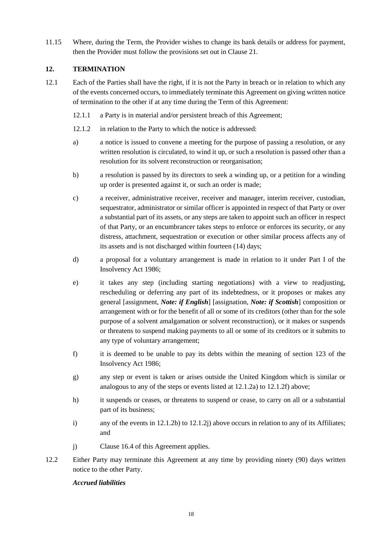11.15 Where, during the Term, the Provider wishes to change its bank details or address for payment, then the Provider must follow the provisions set out in Clause 21.

# **12. TERMINATION**

- <span id="page-17-0"></span>12.1 Each of the Parties shall have the right, if it is not the Party in breach or in relation to which any of the events concerned occurs, to immediately terminate this Agreement on giving written notice of termination to the other if at any time during the Term of this Agreement:
	- 12.1.1 a Party is in material and/or persistent breach of this Agreement;
	- 12.1.2 in relation to the Party to which the notice is addressed:
	- a) a notice is issued to convene a meeting for the purpose of passing a resolution, or any written resolution is circulated, to wind it up, or such a resolution is passed other than a resolution for its solvent reconstruction or reorganisation;
	- b) a resolution is passed by its directors to seek a winding up, or a petition for a winding up order is presented against it, or such an order is made;
	- c) a receiver, administrative receiver, receiver and manager, interim receiver, custodian, sequestrator, administrator or similar officer is appointed in respect of that Party or over a substantial part of its assets, or any steps are taken to appoint such an officer in respect of that Party, or an encumbrancer takes steps to enforce or enforces its security, or any distress, attachment, sequestration or execution or other similar process affects any of its assets and is not discharged within fourteen (14) days;
	- d) a proposal for a voluntary arrangement is made in relation to it under Part I of the Insolvency Act 1986;
	- e) it takes any step (including starting negotiations) with a view to readjusting, rescheduling or deferring any part of its indebtedness, or it proposes or makes any general [assignment, *Note: if English*] [assignation, *Note: if Scottish*] composition or arrangement with or for the benefit of all or some of its creditors (other than for the sole purpose of a solvent amalgamation or solvent reconstruction), or it makes or suspends or threatens to suspend making payments to all or some of its creditors or it submits to any type of voluntary arrangement;
	- f) it is deemed to be unable to pay its debts within the meaning of section 123 of the Insolvency Act 1986;
	- g) any step or event is taken or arises outside the United Kingdom which is similar or analogous to any of the steps or events listed at 12.1.2a) to 12.1.2f) above;
	- h) it suspends or ceases, or threatens to suspend or cease, to carry on all or a substantial part of its business;
	- i) any of the events in  $12.1.2b$  to  $12.1.2j$  above occurs in relation to any of its Affiliates; and
	- j) Clause 16.4 of this Agreement applies.
- 12.2 Either Party may terminate this Agreement at any time by providing ninety (90) days written notice to the other Party.

### *Accrued liabilities*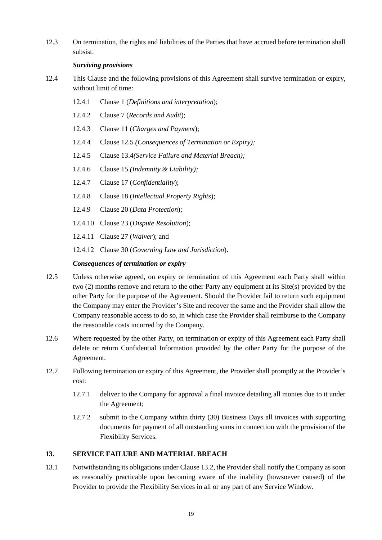12.3 On termination, the rights and liabilities of the Parties that have accrued before termination shall subsist.

### *Surviving provisions*

- 12.4 This Clause and the following provisions of this Agreement shall survive termination or expiry, without limit of time:
	- 12.4.1 Clause 1 (*Definitions and interpretation*);
	- 12.4.2 Clause 7 (*Records and Audit*);
	- 12.4.3 Clause 11 (*Charges and Payment*);
	- 12.4.4 Clause 12.5 *(Consequences of Termination or Expiry);*
	- 12.4.5 Clause 13.4*(Service Failure and Material Breach);*
	- 12.4.6 Clause 15 *(Indemnity & Liability);*
	- 12.4.7 Clause 17 (*Confidentiality*);
	- 12.4.8 Clause 18 (*Intellectual Property Rights*);
	- 12.4.9 Clause 20 (*Data Protection*);
	- 12.4.10 Clause 23 (*Dispute Resolution*);
	- 12.4.11 Clause 27 (*Waiver*); and

12.4.12 Clause 30 (*Governing Law and Jurisdiction*).

### *Consequences of termination or expiry*

- 12.5 Unless otherwise agreed, on expiry or termination of this Agreement each Party shall within two (2) months remove and return to the other Party any equipment at its Site(s) provided by the other Party for the purpose of the Agreement. Should the Provider fail to return such equipment the Company may enter the Provider's Site and recover the same and the Provider shall allow the Company reasonable access to do so, in which case the Provider shall reimburse to the Company the reasonable costs incurred by the Company.
- 12.6 Where requested by the other Party, on termination or expiry of this Agreement each Party shall delete or return Confidential Information provided by the other Party for the purpose of the Agreement.
- 12.7 Following termination or expiry of this Agreement, the Provider shall promptly at the Provider's cost:
	- 12.7.1 deliver to the Company for approval a final invoice detailing all monies due to it under the Agreement;
	- 12.7.2 submit to the Company within thirty (30) Business Days all invoices with supporting documents for payment of all outstanding sums in connection with the provision of the Flexibility Services.

### **13. SERVICE FAILURE AND MATERIAL BREACH**

13.1 Notwithstanding its obligations under Clause 13.2, the Provider shall notify the Company as soon as reasonably practicable upon becoming aware of the inability (howsoever caused) of the Provider to provide the Flexibility Services in all or any part of any Service Window.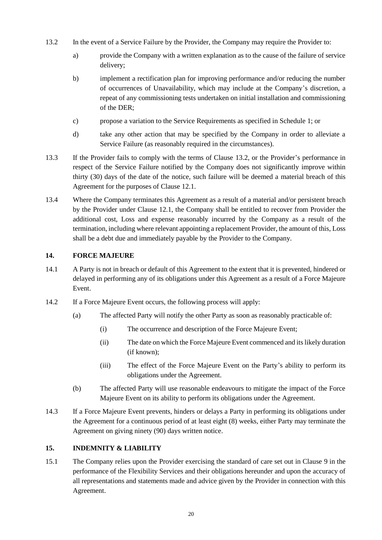- 13.2 In the event of a Service Failure by the Provider, the Company may require the Provider to:
	- a) provide the Company with a written explanation as to the cause of the failure of service delivery;
	- b) implement a rectification plan for improving performance and/or reducing the number of occurrences of Unavailability, which may include at the Company's discretion, a repeat of any commissioning tests undertaken on initial installation and commissioning of the DER;
	- c) propose a variation to the Service Requirements as specified in Schedule 1; or
	- d) take any other action that may be specified by the Company in order to alleviate a Service Failure (as reasonably required in the circumstances).
- 13.3 If the Provider fails to comply with the terms of Clause 13.2, or the Provider's performance in respect of the Service Failure notified by the Company does not significantly improve within thirty (30) days of the date of the notice, such failure will be deemed a material breach of this Agreement for the purposes of Clause 12.1.
- 13.4 Where the Company terminates this Agreement as a result of a material and/or persistent breach by the Provider under Clause 12.1, the Company shall be entitled to recover from Provider the additional cost, Loss and expense reasonably incurred by the Company as a result of the termination, including where relevant appointing a replacement Provider, the amount of this, Loss shall be a debt due and immediately payable by the Provider to the Company.

### **14. FORCE MAJEURE**

- 14.1 A Party is not in breach or default of this Agreement to the extent that it is prevented, hindered or delayed in performing any of its obligations under this Agreement as a result of a Force Majeure Event.
- 14.2 If a Force Majeure Event occurs, the following process will apply:
	- (a) The affected Party will notify the other Party as soon as reasonably practicable of:
		- (i) The occurrence and description of the Force Majeure Event;
		- (ii) The date on which the Force Majeure Event commenced and its likely duration (if known);
		- (iii) The effect of the Force Majeure Event on the Party's ability to perform its obligations under the Agreement.
	- (b) The affected Party will use reasonable endeavours to mitigate the impact of the Force Majeure Event on its ability to perform its obligations under the Agreement.
- 14.3 If a Force Majeure Event prevents, hinders or delays a Party in performing its obligations under the Agreement for a continuous period of at least eight (8) weeks, either Party may terminate the Agreement on giving ninety (90) days written notice.

### **15. INDEMNITY & LIABILITY**

15.1 The Company relies upon the Provider exercising the standard of care set out in Clause 9 in the performance of the Flexibility Services and their obligations hereunder and upon the accuracy of all representations and statements made and advice given by the Provider in connection with this Agreement.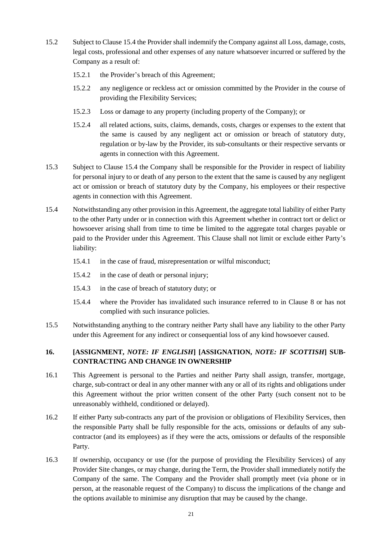- 15.2 Subject to Clause 15.4 the Provider shall indemnify the Company against all Loss, damage, costs, legal costs, professional and other expenses of any nature whatsoever incurred or suffered by the Company as a result of:
	- 15.2.1 the Provider's breach of this Agreement;
	- 15.2.2 any negligence or reckless act or omission committed by the Provider in the course of providing the Flexibility Services;
	- 15.2.3 Loss or damage to any property (including property of the Company); or
	- 15.2.4 all related actions, suits, claims, demands, costs, charges or expenses to the extent that the same is caused by any negligent act or omission or breach of statutory duty, regulation or by-law by the Provider, its sub-consultants or their respective servants or agents in connection with this Agreement.
- 15.3 Subject to Clause 15.4 the Company shall be responsible for the Provider in respect of liability for personal injury to or death of any person to the extent that the same is caused by any negligent act or omission or breach of statutory duty by the Company, his employees or their respective agents in connection with this Agreement.
- 15.4 Notwithstanding any other provision in this Agreement, the aggregate total liability of either Party to the other Party under or in connection with this Agreement whether in contract tort or delict or howsoever arising shall from time to time be limited to the aggregate total charges payable or paid to the Provider under this Agreement. This Clause shall not limit or exclude either Party's liability:
	- 15.4.1 in the case of fraud, misrepresentation or wilful misconduct;
	- 15.4.2 in the case of death or personal injury;
	- 15.4.3 in the case of breach of statutory duty; or
	- 15.4.4 where the Provider has invalidated such insurance referred to in Clause 8 or has not complied with such insurance policies.
- 15.5 Notwithstanding anything to the contrary neither Party shall have any liability to the other Party under this Agreement for any indirect or consequential loss of any kind howsoever caused.

# **16. [ASSIGNMENT,** *NOTE: IF ENGLISH***] [ASSIGNATION,** *NOTE: IF SCOTTISH***] SUB-CONTRACTING AND CHANGE IN OWNERSHIP**

- 16.1 This Agreement is personal to the Parties and neither Party shall assign, transfer, mortgage, charge, sub-contract or deal in any other manner with any or all of its rights and obligations under this Agreement without the prior written consent of the other Party (such consent not to be unreasonably withheld, conditioned or delayed).
- 16.2 If either Party sub-contracts any part of the provision or obligations of Flexibility Services, then the responsible Party shall be fully responsible for the acts, omissions or defaults of any subcontractor (and its employees) as if they were the acts, omissions or defaults of the responsible Party.
- 16.3 If ownership, occupancy or use (for the purpose of providing the Flexibility Services) of any Provider Site changes, or may change, during the Term, the Provider shall immediately notify the Company of the same. The Company and the Provider shall promptly meet (via phone or in person, at the reasonable request of the Company) to discuss the implications of the change and the options available to minimise any disruption that may be caused by the change.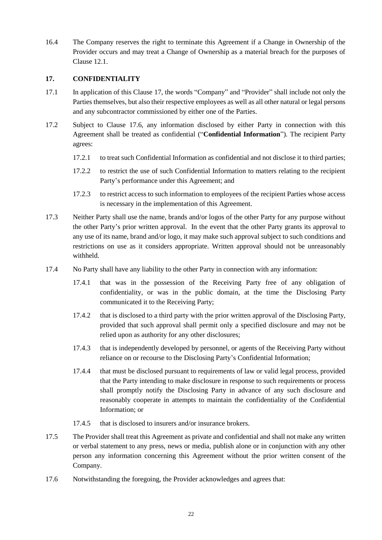16.4 The Company reserves the right to terminate this Agreement if a Change in Ownership of the Provider occurs and may treat a Change of Ownership as a material breach for the purposes of Clause [12.1.](#page-17-0)

### **17. CONFIDENTIALITY**

- 17.1 In application of this Clause 17, the words "Company" and "Provider" shall include not only the Parties themselves, but also their respective employees as well as all other natural or legal persons and any subcontractor commissioned by either one of the Parties.
- 17.2 Subject to Clause 17.6, any information disclosed by either Party in connection with this Agreement shall be treated as confidential ("**Confidential Information**"). The recipient Party agrees:
	- 17.2.1 to treat such Confidential Information as confidential and not disclose it to third parties;
	- 17.2.2 to restrict the use of such Confidential Information to matters relating to the recipient Party's performance under this Agreement; and
	- 17.2.3 to restrict access to such information to employees of the recipient Parties whose access is necessary in the implementation of this Agreement.
- 17.3 Neither Party shall use the name, brands and/or logos of the other Party for any purpose without the other Party's prior written approval. In the event that the other Party grants its approval to any use of its name, brand and/or logo, it may make such approval subject to such conditions and restrictions on use as it considers appropriate. Written approval should not be unreasonably withheld.
- 17.4 No Party shall have any liability to the other Party in connection with any information:
	- 17.4.1 that was in the possession of the Receiving Party free of any obligation of confidentiality, or was in the public domain, at the time the Disclosing Party communicated it to the Receiving Party;
	- 17.4.2 that is disclosed to a third party with the prior written approval of the Disclosing Party, provided that such approval shall permit only a specified disclosure and may not be relied upon as authority for any other disclosures;
	- 17.4.3 that is independently developed by personnel, or agents of the Receiving Party without reliance on or recourse to the Disclosing Party's Confidential Information;
	- 17.4.4 that must be disclosed pursuant to requirements of law or valid legal process, provided that the Party intending to make disclosure in response to such requirements or process shall promptly notify the Disclosing Party in advance of any such disclosure and reasonably cooperate in attempts to maintain the confidentiality of the Confidential Information; or
	- 17.4.5 that is disclosed to insurers and/or insurance brokers.
- 17.5 The Provider shall treat this Agreement as private and confidential and shall not make any written or verbal statement to any press, news or media, publish alone or in conjunction with any other person any information concerning this Agreement without the prior written consent of the Company.
- 17.6 Notwithstanding the foregoing, the Provider acknowledges and agrees that: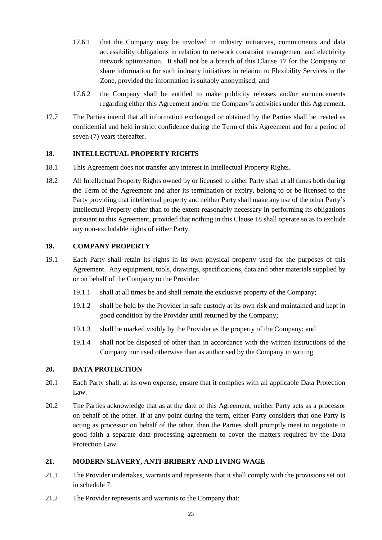- 17.6.1 that the Company may be involved in industry initiatives, commitments and data accessibility obligations in relation to network constraint management and electricity network optimisation. It shall not be a breach of this Clause 17 for the Company to share information for such industry initiatives in relation to Flexibility Services in the Zone, provided the information is suitably anonymised; and
- 17.6.2 the Company shall be entitled to make publicity releases and/or announcements regarding either this Agreement and/or the Company's activities under this Agreement.
- 17.7 The Parties intend that all information exchanged or obtained by the Parties shall be treated as confidential and held in strict confidence during the Term of this Agreement and for a period of seven (7) years thereafter.

### **18. INTELLECTUAL PROPERTY RIGHTS**

- 18.1 This Agreement does not transfer any interest in Intellectual Property Rights.
- 18.2 All Intellectual Property Rights owned by or licensed to either Party shall at all times both during the Term of the Agreement and after its termination or expiry, belong to or be licensed to the Party providing that intellectual property and neither Party shall make any use of the other Party's Intellectual Property other than to the extent reasonably necessary in performing its obligations pursuant to this Agreement, provided that nothing in this Clause 18 shall operate so as to exclude any non-excludable rights of either Party.

### **19. COMPANY PROPERTY**

- 19.1 Each Party shall retain its rights in its own physical property used for the purposes of this Agreement. Any equipment, tools, drawings, specifications, data and other materials supplied by or on behalf of the Company to the Provider:
	- 19.1.1 shall at all times be and shall remain the exclusive property of the Company;
	- 19.1.2 shall be held by the Provider in safe custody at its own risk and maintained and kept in good condition by the Provider until returned by the Company;
	- 19.1.3 shall be marked visibly by the Provider as the property of the Company; and
	- 19.1.4 shall not be disposed of other than in accordance with the written instructions of the Company nor used otherwise than as authorised by the Company in writing.

### **20. DATA PROTECTION**

- 20.1 Each Party shall, at its own expense, ensure that it complies with all applicable Data Protection Law.
- 20.2 The Parties acknowledge that as at the date of this Agreement, neither Party acts as a processor on behalf of the other. If at any point during the term, either Party considers that one Party is acting as processor on behalf of the other, then the Parties shall promptly meet to negotiate in good faith a separate data processing agreement to cover the matters required by the Data Protection Law.

### **21. MODERN SLAVERY, ANTI-BRIBERY AND LIVING WAGE**

- 21.1 The Provider undertakes, warrants and represents that it shall comply with the provisions set out in schedule 7.
- 21.2 The Provider represents and warrants to the Company that: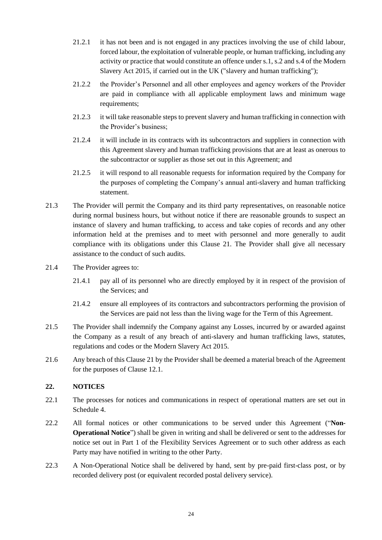- 21.2.1 it has not been and is not engaged in any practices involving the use of child labour, forced labour, the exploitation of vulnerable people, or human trafficking, including any activity or practice that would constitute an offence under s.1, s.2 and s.4 of the Modern Slavery Act 2015, if carried out in the UK ("slavery and human trafficking");
- 21.2.2 the Provider's Personnel and all other employees and agency workers of the Provider are paid in compliance with all applicable employment laws and minimum wage requirements;
- 21.2.3 it will take reasonable steps to prevent slavery and human trafficking in connection with the Provider's business;
- 21.2.4 it will include in its contracts with its subcontractors and suppliers in connection with this Agreement slavery and human trafficking provisions that are at least as onerous to the subcontractor or supplier as those set out in this Agreement; and
- 21.2.5 it will respond to all reasonable requests for information required by the Company for the purposes of completing the Company's annual anti-slavery and human trafficking statement.
- 21.3 The Provider will permit the Company and its third party representatives, on reasonable notice during normal business hours, but without notice if there are reasonable grounds to suspect an instance of slavery and human trafficking, to access and take copies of records and any other information held at the premises and to meet with personnel and more generally to audit compliance with its obligations under this Clause 21. The Provider shall give all necessary assistance to the conduct of such audits.
- 21.4 The Provider agrees to:
	- 21.4.1 pay all of its personnel who are directly employed by it in respect of the provision of the Services; and
	- 21.4.2 ensure all employees of its contractors and subcontractors performing the provision of the Services are paid not less than the living wage for the Term of this Agreement.
- 21.5 The Provider shall indemnify the Company against any Losses, incurred by or awarded against the Company as a result of any breach of anti-slavery and human trafficking laws, statutes, regulations and codes or the Modern Slavery Act 2015.
- 21.6 Any breach of this Clause 21 by the Provider shall be deemed a material breach of the Agreement for the purposes of Clause 12.1.

### **22. NOTICES**

- 22.1 The processes for notices and communications in respect of operational matters are set out in Schedule 4.
- 22.2 All formal notices or other communications to be served under this Agreement ("**Non-Operational Notice**") shall be given in writing and shall be delivered or sent to the addresses for notice set out in Part 1 of the Flexibility Services Agreement or to such other address as each Party may have notified in writing to the other Party.
- 22.3 A Non-Operational Notice shall be delivered by hand, sent by pre-paid first-class post, or by recorded delivery post (or equivalent recorded postal delivery service).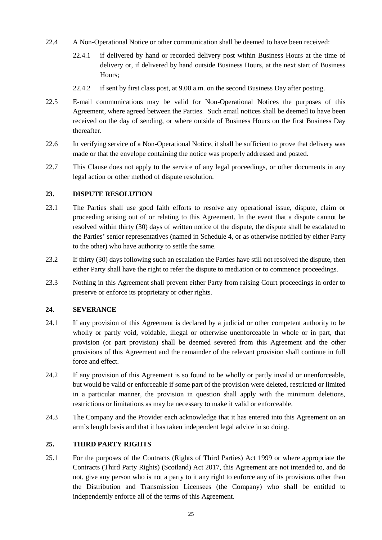- 22.4 A Non-Operational Notice or other communication shall be deemed to have been received:
	- 22.4.1 if delivered by hand or recorded delivery post within Business Hours at the time of delivery or, if delivered by hand outside Business Hours, at the next start of Business Hours;
	- 22.4.2 if sent by first class post, at 9.00 a.m. on the second Business Day after posting.
- 22.5 E-mail communications may be valid for Non-Operational Notices the purposes of this Agreement, where agreed between the Parties. Such email notices shall be deemed to have been received on the day of sending, or where outside of Business Hours on the first Business Day thereafter.
- 22.6 In verifying service of a Non-Operational Notice, it shall be sufficient to prove that delivery was made or that the envelope containing the notice was properly addressed and posted.
- 22.7 This Clause does not apply to the service of any legal proceedings, or other documents in any legal action or other method of dispute resolution.

### **23. DISPUTE RESOLUTION**

- 23.1 The Parties shall use good faith efforts to resolve any operational issue, dispute, claim or proceeding arising out of or relating to this Agreement. In the event that a dispute cannot be resolved within thirty (30) days of written notice of the dispute, the dispute shall be escalated to the Parties' senior representatives (named in Schedule 4, or as otherwise notified by either Party to the other) who have authority to settle the same.
- 23.2 If thirty (30) days following such an escalation the Parties have still not resolved the dispute, then either Party shall have the right to refer the dispute to mediation or to commence proceedings.
- 23.3 Nothing in this Agreement shall prevent either Party from raising Court proceedings in order to preserve or enforce its proprietary or other rights.

### **24. SEVERANCE**

- 24.1 If any provision of this Agreement is declared by a judicial or other competent authority to be wholly or partly void, voidable, illegal or otherwise unenforceable in whole or in part, that provision (or part provision) shall be deemed severed from this Agreement and the other provisions of this Agreement and the remainder of the relevant provision shall continue in full force and effect.
- 24.2 If any provision of this Agreement is so found to be wholly or partly invalid or unenforceable, but would be valid or enforceable if some part of the provision were deleted, restricted or limited in a particular manner, the provision in question shall apply with the minimum deletions, restrictions or limitations as may be necessary to make it valid or enforceable.
- 24.3 The Company and the Provider each acknowledge that it has entered into this Agreement on an arm's length basis and that it has taken independent legal advice in so doing.

### **25. THIRD PARTY RIGHTS**

25.1 For the purposes of the Contracts (Rights of Third Parties) Act 1999 or where appropriate the Contracts (Third Party Rights) (Scotland) Act 2017, this Agreement are not intended to, and do not, give any person who is not a party to it any right to enforce any of its provisions other than the Distribution and Transmission Licensees (the Company) who shall be entitled to independently enforce all of the terms of this Agreement.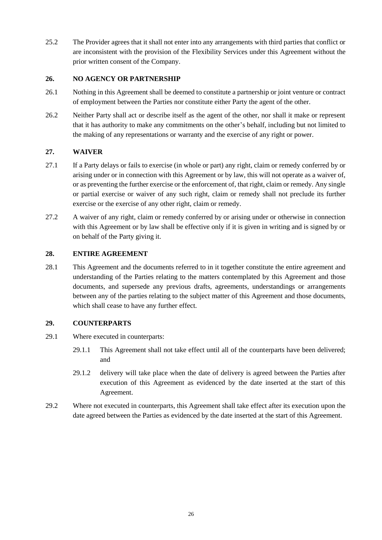25.2 The Provider agrees that it shall not enter into any arrangements with third parties that conflict or are inconsistent with the provision of the Flexibility Services under this Agreement without the prior written consent of the Company.

### **26. NO AGENCY OR PARTNERSHIP**

- 26.1 Nothing in this Agreement shall be deemed to constitute a partnership or joint venture or contract of employment between the Parties nor constitute either Party the agent of the other.
- 26.2 Neither Party shall act or describe itself as the agent of the other, nor shall it make or represent that it has authority to make any commitments on the other's behalf, including but not limited to the making of any representations or warranty and the exercise of any right or power.

### **27. WAIVER**

- 27.1 If a Party delays or fails to exercise (in whole or part) any right, claim or remedy conferred by or arising under or in connection with this Agreement or by law, this will not operate as a waiver of, or as preventing the further exercise or the enforcement of, that right, claim or remedy. Any single or partial exercise or waiver of any such right, claim or remedy shall not preclude its further exercise or the exercise of any other right, claim or remedy.
- 27.2 A waiver of any right, claim or remedy conferred by or arising under or otherwise in connection with this Agreement or by law shall be effective only if it is given in writing and is signed by or on behalf of the Party giving it.

### **28. ENTIRE AGREEMENT**

28.1 This Agreement and the documents referred to in it together constitute the entire agreement and understanding of the Parties relating to the matters contemplated by this Agreement and those documents, and supersede any previous drafts, agreements, understandings or arrangements between any of the parties relating to the subject matter of this Agreement and those documents, which shall cease to have any further effect.

### **29. COUNTERPARTS**

- 29.1 Where executed in counterparts:
	- 29.1.1 This Agreement shall not take effect until all of the counterparts have been delivered; and
	- 29.1.2 delivery will take place when the date of delivery is agreed between the Parties after execution of this Agreement as evidenced by the date inserted at the start of this Agreement.
- 29.2 Where not executed in counterparts, this Agreement shall take effect after its execution upon the date agreed between the Parties as evidenced by the date inserted at the start of this Agreement.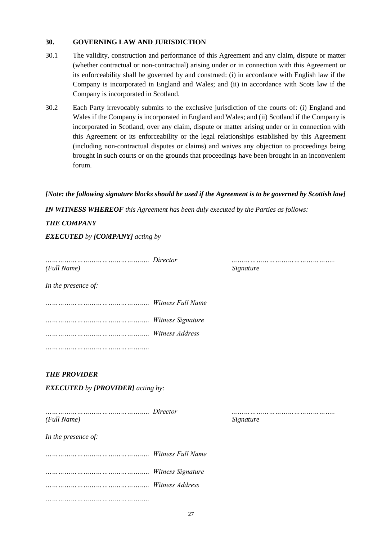### **30. GOVERNING LAW AND JURISDICTION**

- 30.1 The validity, construction and performance of this Agreement and any claim, dispute or matter (whether contractual or non-contractual) arising under or in connection with this Agreement or its enforceability shall be governed by and construed: (i) in accordance with English law if the Company is incorporated in England and Wales; and (ii) in accordance with Scots law if the Company is incorporated in Scotland.
- 30.2 Each Party irrevocably submits to the exclusive jurisdiction of the courts of: (i) England and Wales if the Company is incorporated in England and Wales; and (ii) Scotland if the Company is incorporated in Scotland, over any claim, dispute or matter arising under or in connection with this Agreement or its enforceability or the legal relationships established by this Agreement (including non-contractual disputes or claims) and waives any objection to proceedings being brought in such courts or on the grounds that proceedings have been brought in an inconvenient forum.

### *[Note: the following signature blocks should be used if the Agreement is to be governed by Scottish law]*

*IN WITNESS WHEREOF this Agreement has been duly executed by the Parties as follows:*

### *THE COMPANY*

*EXECUTED by [COMPANY] acting by*

*………………………………………….. Director ………………………………………….. (Full Name) Signature*

*In the presence of:*

*………………………………………….. Witness Full Name ………………………………………….. Witness Signature ………………………………………….. Witness Address …………………………………………..* 

# *THE PROVIDER*

*EXECUTED by [PROVIDER] acting by:* 

*………………………………………….. Director ………………………………………….. (Full Name) Signature In the presence of:*

*………………………………………….. Witness Full Name ………………………………………….. Witness Signature ………………………………………….. Witness Address …………………………………………..*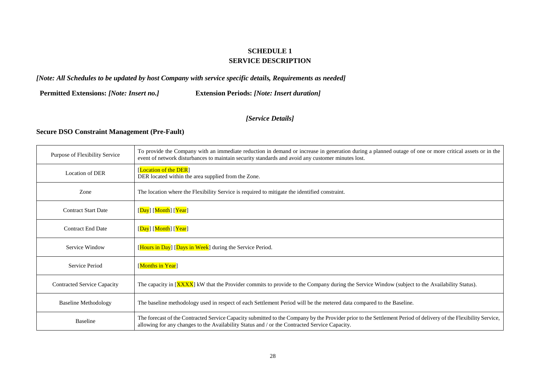# **SCHEDULE 1 SERVICE DESCRIPTION**

# *[Note: All Schedules to be updated by host Company with service specific details, Requirements as needed]*

**Permitted Extensions:** *[Note: Insert no.]* **Extension Periods:** *[Note: Insert duration]*

### *[Service Details]*

# **Secure DSO Constraint Management (Pre-Fault)**

| Purpose of Flexibility Service                                                                        | To provide the Company with an immediate reduction in demand or increase in generation during a planned outage of one or more critical assets or in the<br>event of network disturbances to maintain security standards and avoid any customer minutes lost.     |  |
|-------------------------------------------------------------------------------------------------------|------------------------------------------------------------------------------------------------------------------------------------------------------------------------------------------------------------------------------------------------------------------|--|
| Location of DER                                                                                       | [Location of the DER]<br>DER located within the area supplied from the Zone.                                                                                                                                                                                     |  |
| Zone<br>The location where the Flexibility Service is required to mitigate the identified constraint. |                                                                                                                                                                                                                                                                  |  |
| <b>Contract Start Date</b>                                                                            | [Day] [Month] [Year]                                                                                                                                                                                                                                             |  |
| <b>Contract End Date</b>                                                                              | [Day] [Month] [Year]                                                                                                                                                                                                                                             |  |
| Service Window                                                                                        | [Hours in Day] [Days in Week] during the Service Period.                                                                                                                                                                                                         |  |
| Service Period                                                                                        | [Months in Year]                                                                                                                                                                                                                                                 |  |
| <b>Contracted Service Capacity</b>                                                                    | The capacity in [XXXX] kW that the Provider commits to provide to the Company during the Service Window (subject to the Availability Status).                                                                                                                    |  |
| <b>Baseline Methodology</b>                                                                           | The baseline methodology used in respect of each Settlement Period will be the metered data compared to the Baseline.                                                                                                                                            |  |
| <b>Baseline</b>                                                                                       | The forecast of the Contracted Service Capacity submitted to the Company by the Provider prior to the Settlement Period of delivery of the Flexibility Service,<br>allowing for any changes to the Availability Status and / or the Contracted Service Capacity. |  |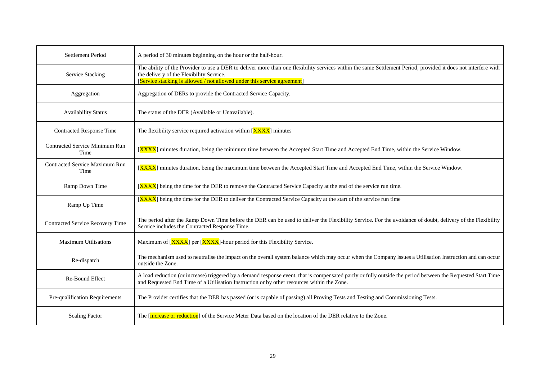| Settlement Period                             | A period of 30 minutes beginning on the hour or the half-hour.                                                                                                                                                                                                                        |
|-----------------------------------------------|---------------------------------------------------------------------------------------------------------------------------------------------------------------------------------------------------------------------------------------------------------------------------------------|
| Service Stacking                              | The ability of the Provider to use a DER to deliver more than one flexibility services within the same Settlement Period, provided it does not interfere with<br>the delivery of the Flexibility Service.<br>[Service stacking is allowed / not allowed under this service agreement] |
| Aggregation                                   | Aggregation of DERs to provide the Contracted Service Capacity.                                                                                                                                                                                                                       |
| <b>Availability Status</b>                    | The status of the DER (Available or Unavailable).                                                                                                                                                                                                                                     |
| <b>Contracted Response Time</b>               | The flexibility service required activation within $\sqrt{\text{XXX}}$ minutes                                                                                                                                                                                                        |
| <b>Contracted Service Minimum Run</b><br>Time | [XXXX] minutes duration, being the minimum time between the Accepted Start Time and Accepted End Time, within the Service Window.                                                                                                                                                     |
| Contracted Service Maximum Run<br>Time        | [XXXX] minutes duration, being the maximum time between the Accepted Start Time and Accepted End Time, within the Service Window.                                                                                                                                                     |
| Ramp Down Time                                | [XXXX] being the time for the DER to remove the Contracted Service Capacity at the end of the service run time.                                                                                                                                                                       |
| Ramp Up Time                                  | [XXXX] being the time for the DER to deliver the Contracted Service Capacity at the start of the service run time                                                                                                                                                                     |
| Contracted Service Recovery Time              | The period after the Ramp Down Time before the DER can be used to deliver the Flexibility Service. For the avoidance of doubt, delivery of the Flexibility<br>Service includes the Contracted Response Time.                                                                          |
| <b>Maximum Utilisations</b>                   | Maximum of [XXXX] per [XXXX]-hour period for this Flexibility Service.                                                                                                                                                                                                                |
| Re-dispatch                                   | The mechanism used to neutralise the impact on the overall system balance which may occur when the Company issues a Utilisation Instruction and can occur<br>outside the Zone.                                                                                                        |
| Re-Bound Effect                               | A load reduction (or increase) triggered by a demand response event, that is compensated partly or fully outside the period between the Requested Start Time<br>and Requested End Time of a Utilisation Instruction or by other resources within the Zone.                            |
| Pre-qualification Requirements                | The Provider certifies that the DER has passed (or is capable of passing) all Proving Tests and Testing and Commissioning Tests.                                                                                                                                                      |
| <b>Scaling Factor</b>                         | The <i>[increase or reduction]</i> of the Service Meter Data based on the location of the DER relative to the Zone.                                                                                                                                                                   |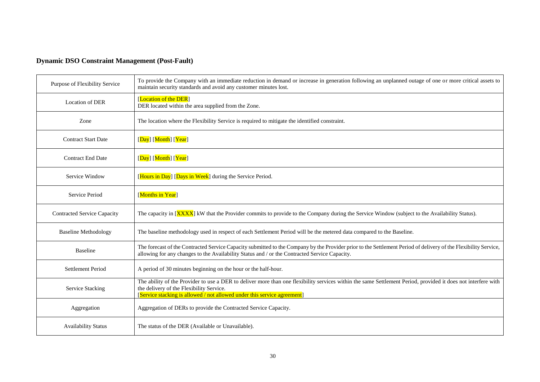# **Dynamic DSO Constraint Management (Post-Fault)**

| Purpose of Flexibility Service                                             | To provide the Company with an immediate reduction in demand or increase in generation following an unplanned outage of one or more critical assets to<br>maintain security standards and avoid any customer minutes lost.                                                            |  |  |
|----------------------------------------------------------------------------|---------------------------------------------------------------------------------------------------------------------------------------------------------------------------------------------------------------------------------------------------------------------------------------|--|--|
| Location of DER                                                            | [Location of the DER]<br>DER located within the area supplied from the Zone.                                                                                                                                                                                                          |  |  |
| Zone                                                                       | The location where the Flexibility Service is required to mitigate the identified constraint.                                                                                                                                                                                         |  |  |
| <b>Contract Start Date</b>                                                 | [Day] [Month] [Year]                                                                                                                                                                                                                                                                  |  |  |
| <b>Contract End Date</b>                                                   | [Day] [Month] [Year]                                                                                                                                                                                                                                                                  |  |  |
| [Hours in Day] [Days in Week] during the Service Period.<br>Service Window |                                                                                                                                                                                                                                                                                       |  |  |
| [Months in Year]<br>Service Period                                         |                                                                                                                                                                                                                                                                                       |  |  |
| <b>Contracted Service Capacity</b>                                         | The capacity in [XXXX] kW that the Provider commits to provide to the Company during the Service Window (subject to the Availability Status).                                                                                                                                         |  |  |
| <b>Baseline Methodology</b>                                                | The baseline methodology used in respect of each Settlement Period will be the metered data compared to the Baseline.                                                                                                                                                                 |  |  |
| <b>Baseline</b>                                                            | The forecast of the Contracted Service Capacity submitted to the Company by the Provider prior to the Settlement Period of delivery of the Flexibility Service,<br>allowing for any changes to the Availability Status and / or the Contracted Service Capacity.                      |  |  |
| Settlement Period                                                          | A period of 30 minutes beginning on the hour or the half-hour.                                                                                                                                                                                                                        |  |  |
| Service Stacking                                                           | The ability of the Provider to use a DER to deliver more than one flexibility services within the same Settlement Period, provided it does not interfere with<br>the delivery of the Flexibility Service.<br>[Service stacking is allowed / not allowed under this service agreement] |  |  |
| Aggregation                                                                | Aggregation of DERs to provide the Contracted Service Capacity.                                                                                                                                                                                                                       |  |  |
| <b>Availability Status</b>                                                 | The status of the DER (Available or Unavailable).                                                                                                                                                                                                                                     |  |  |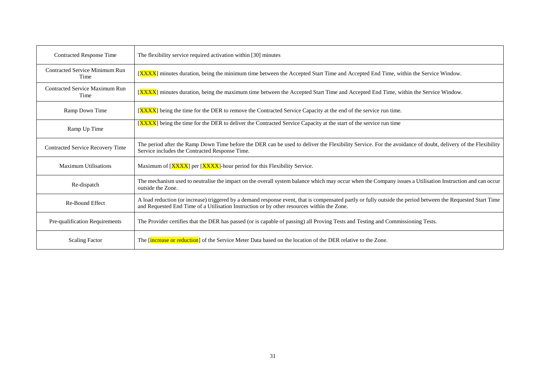| <b>Contracted Response Time</b>               | The flexibility service required activation within [30] minutes                                                                                                                                                                                            |  |  |
|-----------------------------------------------|------------------------------------------------------------------------------------------------------------------------------------------------------------------------------------------------------------------------------------------------------------|--|--|
| <b>Contracted Service Minimum Run</b><br>Time | [XXXX] minutes duration, being the minimum time between the Accepted Start Time and Accepted End Time, within the Service Window.                                                                                                                          |  |  |
| <b>Contracted Service Maximum Run</b><br>Time | [XXXX] minutes duration, being the maximum time between the Accepted Start Time and Accepted End Time, within the Service Window.                                                                                                                          |  |  |
| Ramp Down Time                                | [XXXX] being the time for the DER to remove the Contracted Service Capacity at the end of the service run time.                                                                                                                                            |  |  |
| Ramp Up Time                                  | [XXXX] being the time for the DER to deliver the Contracted Service Capacity at the start of the service run time                                                                                                                                          |  |  |
| Contracted Service Recovery Time              | The period after the Ramp Down Time before the DER can be used to deliver the Flexibility Service. For the avoidance of doubt, delivery of the Flexibility<br>Service includes the Contracted Response Time.                                               |  |  |
| <b>Maximum Utilisations</b>                   | Maximum of [XXXX] per [XXXX]-hour period for this Flexibility Service.                                                                                                                                                                                     |  |  |
| Re-dispatch                                   | The mechanism used to neutralise the impact on the overall system balance which may occur when the Company issues a Utilisation Instruction and can occur<br>outside the Zone.                                                                             |  |  |
| Re-Bound Effect                               | A load reduction (or increase) triggered by a demand response event, that is compensated partly or fully outside the period between the Requested Start Time<br>and Requested End Time of a Utilisation Instruction or by other resources within the Zone. |  |  |
| Pre-qualification Requirements                | The Provider certifies that the DER has passed (or is capable of passing) all Proving Tests and Testing and Commissioning Tests.                                                                                                                           |  |  |
| <b>Scaling Factor</b>                         | The <i>[increase or reduction]</i> of the Service Meter Data based on the location of the DER relative to the Zone.                                                                                                                                        |  |  |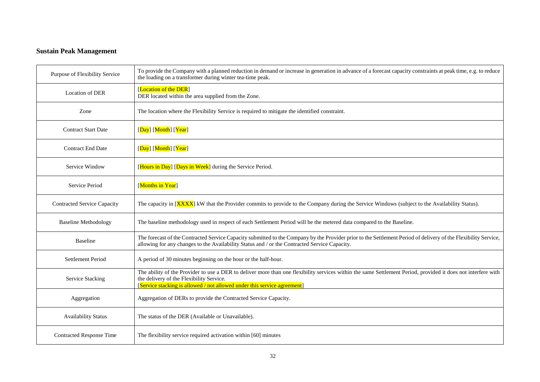# **Sustain Peak Management**

| Purpose of Flexibility Service     | To provide the Company with a planned reduction in demand or increase in generation in advance of a forecast capacity constraints at peak time, e.g. to reduce<br>the loading on a transformer during winter tea-time peak.                                                           |  |  |  |
|------------------------------------|---------------------------------------------------------------------------------------------------------------------------------------------------------------------------------------------------------------------------------------------------------------------------------------|--|--|--|
| <b>Location of DER</b>             | [Location of the DER]<br>DER located within the area supplied from the Zone.                                                                                                                                                                                                          |  |  |  |
| Zone                               | The location where the Flexibility Service is required to mitigate the identified constraint.                                                                                                                                                                                         |  |  |  |
| <b>Contract Start Date</b>         | [Day] [Month] [Year]                                                                                                                                                                                                                                                                  |  |  |  |
| <b>Contract End Date</b>           | [Day] [Month] [Year]                                                                                                                                                                                                                                                                  |  |  |  |
| Service Window                     | [Hours in Day] [Days in Week] during the Service Period.                                                                                                                                                                                                                              |  |  |  |
| Service Period                     | [Months in Year]                                                                                                                                                                                                                                                                      |  |  |  |
| <b>Contracted Service Capacity</b> | The capacity in [XXXX] kW that the Provider commits to provide to the Company during the Service Windows (subject to the Availability Status).                                                                                                                                        |  |  |  |
| <b>Baseline Methodology</b>        | The baseline methodology used in respect of each Settlement Period will be the metered data compared to the Baseline.                                                                                                                                                                 |  |  |  |
| <b>Baseline</b>                    | The forecast of the Contracted Service Capacity submitted to the Company by the Provider prior to the Settlement Period of delivery of the Flexibility Service,<br>allowing for any changes to the Availability Status and / or the Contracted Service Capacity.                      |  |  |  |
| Settlement Period                  | A period of 30 minutes beginning on the hour or the half-hour.                                                                                                                                                                                                                        |  |  |  |
| <b>Service Stacking</b>            | The ability of the Provider to use a DER to deliver more than one flexibility services within the same Settlement Period, provided it does not interfere with<br>the delivery of the Flexibility Service.<br>[Service stacking is allowed / not allowed under this service agreement] |  |  |  |
| Aggregation                        | Aggregation of DERs to provide the Contracted Service Capacity.                                                                                                                                                                                                                       |  |  |  |
| <b>Availability Status</b>         | The status of the DER (Available or Unavailable).                                                                                                                                                                                                                                     |  |  |  |
| <b>Contracted Response Time</b>    | The flexibility service required activation within [60] minutes                                                                                                                                                                                                                       |  |  |  |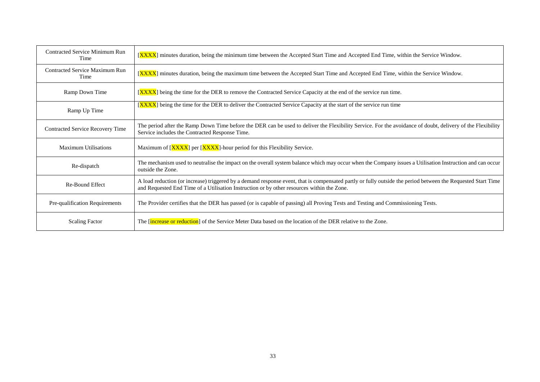| Contracted Service Minimum Run<br>Time        | <b>[XXXX]</b> minutes duration, being the minimum time between the Accepted Start Time and Accepted End Time, within the Service Window.                                                                                                                   |  |  |
|-----------------------------------------------|------------------------------------------------------------------------------------------------------------------------------------------------------------------------------------------------------------------------------------------------------------|--|--|
| <b>Contracted Service Maximum Run</b><br>Time | <b>[XXXX]</b> minutes duration, being the maximum time between the Accepted Start Time and Accepted End Time, within the Service Window.                                                                                                                   |  |  |
| Ramp Down Time                                | [XXXX] being the time for the DER to remove the Contracted Service Capacity at the end of the service run time.                                                                                                                                            |  |  |
| Ramp Up Time                                  | [XXXX] being the time for the DER to deliver the Contracted Service Capacity at the start of the service run time                                                                                                                                          |  |  |
| Contracted Service Recovery Time              | The period after the Ramp Down Time before the DER can be used to deliver the Flexibility Service. For the avoidance of doubt, delivery of the Flexibility<br>Service includes the Contracted Response Time.                                               |  |  |
|                                               |                                                                                                                                                                                                                                                            |  |  |
| <b>Maximum Utilisations</b>                   | Maximum of [XXXX] per [XXXX]-hour period for this Flexibility Service.                                                                                                                                                                                     |  |  |
| Re-dispatch                                   | The mechanism used to neutralise the impact on the overall system balance which may occur when the Company issues a Utilisation Instruction and can occur<br>outside the Zone.                                                                             |  |  |
| Re-Bound Effect                               | A load reduction (or increase) triggered by a demand response event, that is compensated partly or fully outside the period between the Requested Start Time<br>and Requested End Time of a Utilisation Instruction or by other resources within the Zone. |  |  |
| Pre-qualification Requirements                | The Provider certifies that the DER has passed (or is capable of passing) all Proving Tests and Testing and Commissioning Tests.                                                                                                                           |  |  |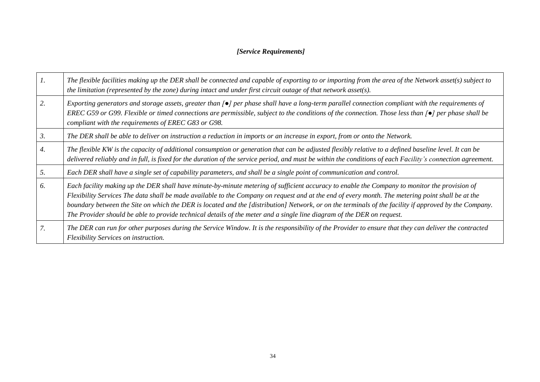# *[Service Requirements]*

|    | The flexible facilities making up the DER shall be connected and capable of exporting to or importing from the area of the Network asset(s) subject to<br>the limitation (represented by the zone) during intact and under first circuit outage of that network asset(s).                                                                                                                                                                                                                                                                                                             |
|----|---------------------------------------------------------------------------------------------------------------------------------------------------------------------------------------------------------------------------------------------------------------------------------------------------------------------------------------------------------------------------------------------------------------------------------------------------------------------------------------------------------------------------------------------------------------------------------------|
| 2. | Exporting generators and storage assets, greater than $\lceil \bullet \rceil$ per phase shall have a long-term parallel connection compliant with the requirements of<br>EREC G59 or G99. Flexible or timed connections are permissible, subject to the conditions of the connection. Those less than $\lceil \bullet \rceil$ per phase shall be<br>compliant with the requirements of EREC G83 or G98.                                                                                                                                                                               |
| 3. | The DER shall be able to deliver on instruction a reduction in imports or an increase in export, from or onto the Network.                                                                                                                                                                                                                                                                                                                                                                                                                                                            |
| 4. | The flexible KW is the capacity of additional consumption or generation that can be adjusted flexibly relative to a defined baseline level. It can be<br>delivered reliably and in full, is fixed for the duration of the service period, and must be within the conditions of each Facility's connection agreement.                                                                                                                                                                                                                                                                  |
| 5. | Each DER shall have a single set of capability parameters, and shall be a single point of communication and control.                                                                                                                                                                                                                                                                                                                                                                                                                                                                  |
| 6. | Each facility making up the DER shall have minute-by-minute metering of sufficient accuracy to enable the Company to monitor the provision of<br>Flexibility Services The data shall be made available to the Company on request and at the end of every month. The metering point shall be at the<br>boundary between the Site on which the DER is located and the [distribution] Network, or on the terminals of the facility if approved by the Company.<br>The Provider should be able to provide technical details of the meter and a single line diagram of the DER on request. |
|    | The DER can run for other purposes during the Service Window. It is the responsibility of the Provider to ensure that they can deliver the contracted<br>Flexibility Services on instruction.                                                                                                                                                                                                                                                                                                                                                                                         |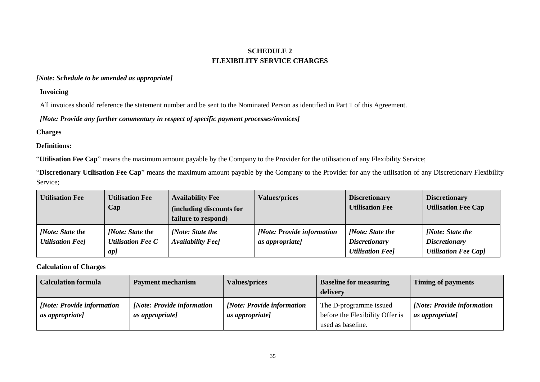# **SCHEDULE 2 FLEXIBILITY SERVICE CHARGES**

### *[Note: Schedule to be amended as appropriate]*

### **Invoicing**

All invoices should reference the statement number and be sent to the Nominated Person as identified in Part 1 of this Agreement.

*[Note: Provide any further commentary in respect of specific payment processes/invoices]*

# **Charges**

### **Definitions:**

"**Utilisation Fee Cap**" means the maximum amount payable by the Company to the Provider for the utilisation of any Flexibility Service;

"**Discretionary Utilisation Fee Cap**" means the maximum amount payable by the Company to the Provider for any the utilisation of any Discretionary Flexibility Service;

| <b>Utilisation Fee</b>                      | <b>Utilisation Fee</b><br>Cap                | <b>Availability Fee</b><br>(including discounts for<br>failure to respond) | <b>Values/prices</b>                           | <b>Discretionary</b><br><b>Utilisation Fee</b> | <b>Discretionary</b><br><b>Utilisation Fee Cap</b> |
|---------------------------------------------|----------------------------------------------|----------------------------------------------------------------------------|------------------------------------------------|------------------------------------------------|----------------------------------------------------|
| [Note: State the<br><b>Utilisation Feel</b> | [Note: State the<br><b>Utilisation Fee C</b> | [Note: State the<br>Availability Fee]                                      | [Note: Provide information]<br>as appropriate] | [Note: State the<br><i>Discretionary</i>       | [Note: State the<br><i>Discretionary</i>           |
|                                             | $ap$ ]                                       |                                                                            |                                                | <b>Utilisation Feel</b>                        | <b>Utilisation Fee Cap1</b>                        |

### **Calculation of Charges**

| <b>Calculation formula</b>                    | <b>Payment mechanism</b>                                     | <b>Values/prices</b>                                 | <b>Baseline for measuring</b><br>delivery                                      | <b>Timing of payments</b>                      |
|-----------------------------------------------|--------------------------------------------------------------|------------------------------------------------------|--------------------------------------------------------------------------------|------------------------------------------------|
| [Note: Provide information<br>as appropriate] | <i><b>[Note: Provide information]</b></i><br>as appropriate] | [Note: Provide information<br><i>as appropriate]</i> | The D-programme issued<br>before the Flexibility Offer is<br>used as baseline. | [Note: Provide information]<br>as appropriate] |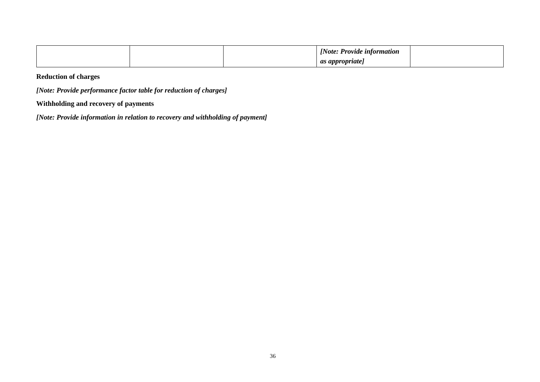|  | 'Note.<br><i>Provide information</i> |  |
|--|--------------------------------------|--|
|  | appropriate<br>$\alpha$<br>ur<br>. . |  |

# **Reduction of charges**

*[Note: Provide performance factor table for reduction of charges]*

# **Withholding and recovery of payments**

*[Note: Provide information in relation to recovery and withholding of payment]*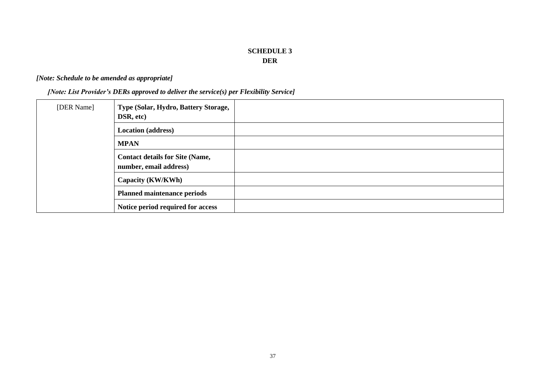# **SCHEDULE 3 DER**

# *[Note: Schedule to be amended as appropriate]*

*[Note: List Provider's DERs approved to deliver the service(s) per Flexibility Service]*

| [DER Name] | Type (Solar, Hydro, Battery Storage,<br>DSR, etc)                |  |
|------------|------------------------------------------------------------------|--|
|            | <b>Location</b> (address)                                        |  |
|            | <b>MPAN</b>                                                      |  |
|            | <b>Contact details for Site (Name,</b><br>number, email address) |  |
|            | Capacity (KW/KWh)                                                |  |
|            | <b>Planned maintenance periods</b>                               |  |
|            | Notice period required for access                                |  |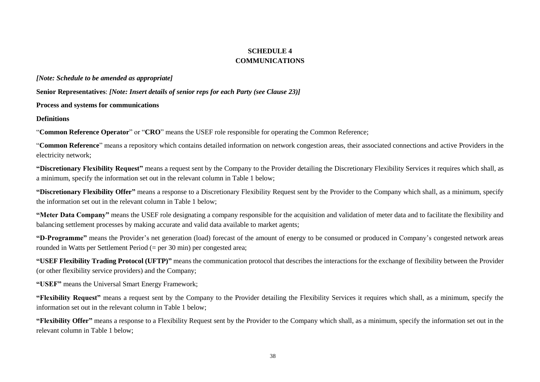# **SCHEDULE 4 COMMUNICATIONS**

*[Note: Schedule to be amended as appropriate]*

**Senior Representatives**: *[Note: Insert details of senior reps for each Party (see Clause 23)]*

**Process and systems for communications**

**Definitions**

"**Common Reference Operator**" or "**CRO**" means the USEF role responsible for operating the Common Reference;

"**Common Reference**" means a repository which contains detailed information on network congestion areas, their associated connections and active Providers in the electricity network;

**"Discretionary Flexibility Request"** means a request sent by the Company to the Provider detailing the Discretionary Flexibility Services it requires which shall, as a minimum, specify the information set out in the relevant column in Table 1 below;

**"Discretionary Flexibility Offer"** means a response to a Discretionary Flexibility Request sent by the Provider to the Company which shall, as a minimum, specify the information set out in the relevant column in Table 1 below;

<span id="page-37-0"></span>**"Meter Data Company"** means the USEF role designating a company responsible for the acquisition and validation of meter data and to facilitate the flexibility and balancing settlement processes by making accurate and valid data available to market agents;

**"D-Programme"** means the Provider's net generation (load) forecast of the amount of energy to be consumed or produced in Company's congested network areas rounded in Watts per Settlement Period (= per 30 min) per congested area;

**"USEF Flexibility Trading Protocol (UFTP)"** means the communication protocol that describes the interactions for the exchange of flexibility between the Provider (or other flexibility service providers) and the Company;

**"USEF"** means the Universal Smart Energy Framework;

**"Flexibility Request"** means a request sent by the Company to the Provider detailing the Flexibility Services it requires which shall, as a minimum, specify the information set out in the relevant column in Table 1 below;

**"Flexibility Offer"** means a response to a Flexibility Request sent by the Provider to the Company which shall, as a minimum, specify the information set out in the relevant column in Table 1 below;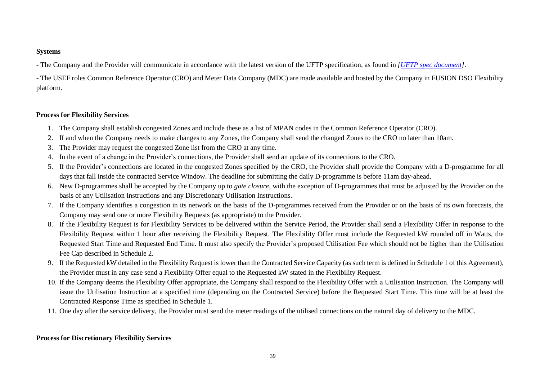### **Systems**

- The Company and the Provider will communicate in accordance with the latest version of the UFTP specification, as found in *[\[UFTP spec document\]](https://www.usef.energy/app/uploads/2020/01/USEF-Flex-Trading-Protocol-Specifications-1.01.pdf#popup__overlay1)*.

- The USEF roles Common Reference Operator (CRO) and Meter Data Company (MDC) are made available and hosted by the Company in FUSION DSO Flexibility platform.

### **Process for Flexibility Services**

- 1. The Company shall establish congested Zones and include these as a list of MPAN codes in the Common Reference Operator (CRO).
- 2. If and when the Company needs to make changes to any Zones, the Company shall send the changed Zones to the CRO no later than 10am*.*
- 3. The Provider may request the congested Zone list from the CRO at any time.
- 4. In the event of a change in the Provider's connections, the Provider shall send an update of its connections to the CRO.
- 5. If the Provider's connections are located in the congested Zones specified by the CRO, the Provider shall provide the Company with a D-programme for all days that fall inside the contracted Service Window. The deadline for submitting the daily D-programme is before 11am day-ahead.
- 6. New D-programmes shall be accepted by the Company up to *gate closure*, with the exception of D-programmes that must be adjusted by the Provider on the basis of any Utilisation Instructions and any Discretionary Utilisation Instructions.
- 7. If the Company identifies a congestion in its network on the basis of the D-programmes received from the Provider or on the basis of its own forecasts, the Company may send one or more Flexibility Requests (as appropriate) to the Provider.
- 8. If the Flexibility Request is for Flexibility Services to be delivered within the Service Period, the Provider shall send a Flexibility Offer in response to the Flexibility Request within 1 hour after receiving the Flexibility Request. The Flexibility Offer must include the Requested kW rounded off in Watts, the Requested Start Time and Requested End Time. It must also specify the Provider's proposed Utilisation Fee which should not be higher than the Utilisation Fee Cap described in Schedule 2.
- 9. If the Requested kW detailed in the Flexibility Request is lower than the Contracted Service Capacity (as such term is defined in Schedule 1 of this Agreement), the Provider must in any case send a Flexibility Offer equal to the Requested kW stated in the Flexibility Request.
- 10. If the Company deems the Flexibility Offer appropriate, the Company shall respond to the Flexibility Offer with a Utilisation Instruction. The Company will issue the Utilisation Instruction at a specified time (depending on the Contracted Service) before the Requested Start Time. This time will be at least the Contracted Response Time as specified in Schedule 1.
- 11. One day after the service delivery, the Provider must send the meter readings of the utilised connections on the natural day of delivery to the MDC.

### **Process for Discretionary Flexibility Services**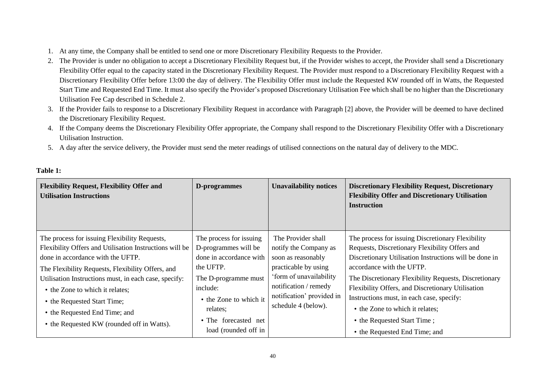- 1. At any time, the Company shall be entitled to send one or more Discretionary Flexibility Requests to the Provider.
- 2. The Provider is under no obligation to accept a Discretionary Flexibility Request but, if the Provider wishes to accept, the Provider shall send a Discretionary Flexibility Offer equal to the capacity stated in the Discretionary Flexibility Request. The Provider must respond to a Discretionary Flexibility Request with a Discretionary Flexibility Offer before 13:00 the day of delivery. The Flexibility Offer must include the Requested KW rounded off in Watts, the Requested Start Time and Requested End Time. It must also specify the Provider's proposed Discretionary Utilisation Fee which shall be no higher than the Discretionary Utilisation Fee Cap described in Schedule 2.
- 3. If the Provider fails to response to a Discretionary Flexibility Request in accordance with Paragraph [2] above, the Provider will be deemed to have declined the Discretionary Flexibility Request.
- 4. If the Company deems the Discretionary Flexibility Offer appropriate, the Company shall respond to the Discretionary Flexibility Offer with a Discretionary Utilisation Instruction.
- 5. A day after the service delivery, the Provider must send the meter readings of utilised connections on the natural day of delivery to the MDC.

| <b>Flexibility Request, Flexibility Offer and</b><br><b>Utilisation Instructions</b>                                                                                                                                                                                                                                                                                                                         | D-programmes                                                                                                                                                                                                      | <b>Unavailability notices</b>                                                                                                                                                                     | <b>Discretionary Flexibility Request, Discretionary</b><br><b>Flexibility Offer and Discretionary Utilisation</b><br><b>Instruction</b>                                                                                                                                                                                                                                                                                                                  |
|--------------------------------------------------------------------------------------------------------------------------------------------------------------------------------------------------------------------------------------------------------------------------------------------------------------------------------------------------------------------------------------------------------------|-------------------------------------------------------------------------------------------------------------------------------------------------------------------------------------------------------------------|---------------------------------------------------------------------------------------------------------------------------------------------------------------------------------------------------|----------------------------------------------------------------------------------------------------------------------------------------------------------------------------------------------------------------------------------------------------------------------------------------------------------------------------------------------------------------------------------------------------------------------------------------------------------|
| The process for issuing Flexibility Requests,<br>Flexibility Offers and Utilisation Instructions will be<br>done in accordance with the UFTP.<br>The Flexibility Requests, Flexibility Offers, and<br>Utilisation Instructions must, in each case, specify:<br>• the Zone to which it relates;<br>• the Requested Start Time;<br>• the Requested End Time; and<br>• the Requested KW (rounded off in Watts). | The process for issuing<br>D-programmes will be<br>done in accordance with<br>the UFTP.<br>The D-programme must<br>include:<br>• the Zone to which it<br>relates;<br>• The forecasted net<br>load (rounded off in | The Provider shall<br>notify the Company as<br>soon as reasonably<br>practicable by using<br>'form of unavailability<br>notification / remedy<br>notification' provided in<br>schedule 4 (below). | The process for issuing Discretionary Flexibility<br>Requests, Discretionary Flexibility Offers and<br>Discretionary Utilisation Instructions will be done in<br>accordance with the UFTP.<br>The Discretionary Flexibility Requests, Discretionary<br>Flexibility Offers, and Discretionary Utilisation<br>Instructions must, in each case, specify:<br>• the Zone to which it relates;<br>• the Requested Start Time;<br>• the Requested End Time; and |

### **Table 1:**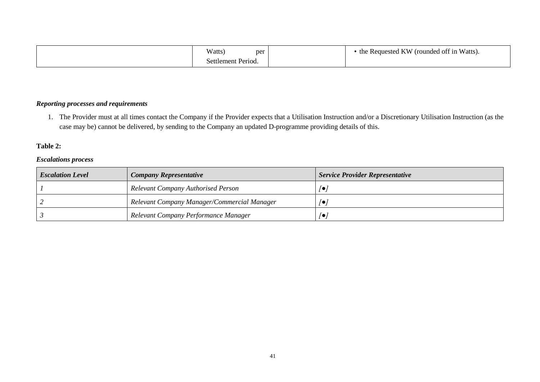| Watts,<br>per      | Exequested KW (rounded off in Watts).<br>the |
|--------------------|----------------------------------------------|
| Settlement Period. |                                              |

### *Reporting processes and requirements*

1. The Provider must at all times contact the Company if the Provider expects that a Utilisation Instruction and/or a Discretionary Utilisation Instruction (as the case may be) cannot be delivered, by sending to the Company an updated D-programme providing details of this.

# **Table 2:**

### *Escalations process*

| <b>Escalation Level</b> | <b>Company Representative</b>               | <b>Service Provider Representative</b> |
|-------------------------|---------------------------------------------|----------------------------------------|
|                         | <b>Relevant Company Authorised Person</b>   | /●                                     |
|                         | Relevant Company Manager/Commercial Manager | ه ا                                    |
|                         | Relevant Company Performance Manager        | /●                                     |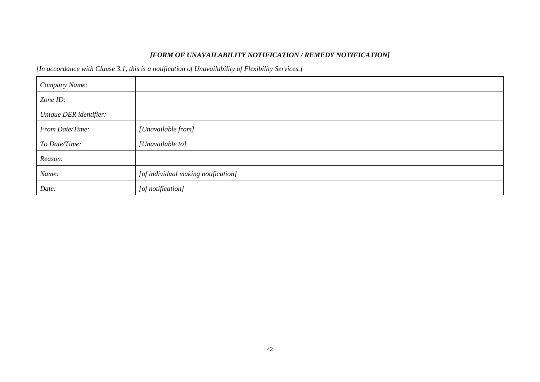# *[FORM OF UNAVAILABILITY NOTIFICATION / REMEDY NOTIFICATION]*

*[In accordance with Clause 3.1, this is a notification of Unavailability of Flexibility Services.]*

| Company Name:          |                                     |
|------------------------|-------------------------------------|
| Zone ID:               |                                     |
| Unique DER identifier: |                                     |
| From Date/Time:        | [Unavailable from]                  |
| To Date/Time:          | [Unavailable to]                    |
| Reason:                |                                     |
| Name:                  | [of individual making notification] |
| Date:                  | [of notification]                   |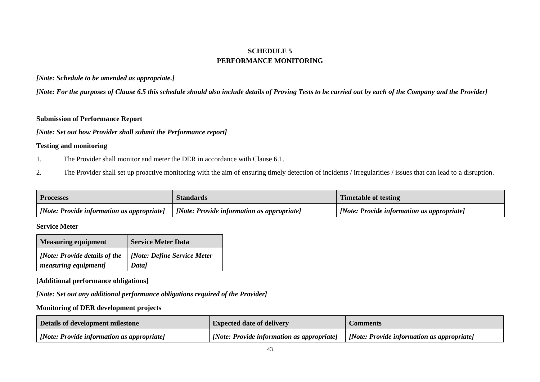# **SCHEDULE 5 PERFORMANCE MONITORING**

### *[Note: Schedule to be amended as appropriate.]*

*[Note: For the purposes of Clause 6.5 this schedule should also include details of Proving Tests to be carried out by each of the Company and the Provider]*

### **Submission of Performance Report**

### *[Note: Set out how Provider shall submit the Performance report]*

### **Testing and monitoring**

- 1. The Provider shall monitor and meter the DER in accordance with Clause 6.1.
- 2. The Provider shall set up proactive monitoring with the aim of ensuring timely detection of incidents / irregularities / issues that can lead to a disruption.

| <b>Processes</b>                                 | Standards                                          | <b>Timetable of testing</b>                        |
|--------------------------------------------------|----------------------------------------------------|----------------------------------------------------|
| <i>Note: Provide information as appropriate]</i> | $\vert$ [Note: Provide information as appropriate] | $\vert$ [Note: Provide information as appropriate] |

### **Service Meter**

| <b>Measuring equipment</b>    | <b>Service Meter Data</b>   |
|-------------------------------|-----------------------------|
| [Note: Provide details of the | [Note: Define Service Meter |
| measuring equipment]          | Data]                       |

### **[Additional performance obligations]**

*[Note: Set out any additional performance obligations required of the Provider]*

### **Monitoring of DER development projects**

| Details of development milestone                  | <b>Expected date of delivery</b>                                                        | <b>€omments</b> |
|---------------------------------------------------|-----------------------------------------------------------------------------------------|-----------------|
| $\Box$ [Note: Provide information as appropriate] | [Note: Provide information as appropriate]   [Note: Provide information as appropriate] |                 |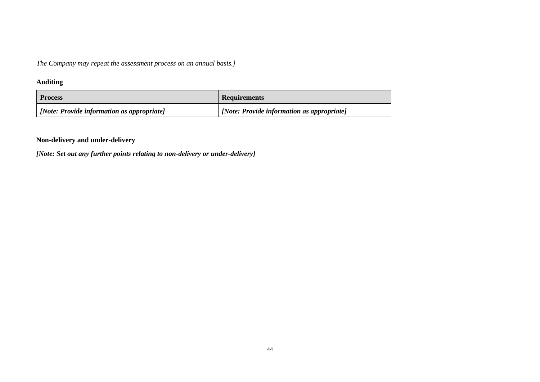*The Company may repeat the assessment process on an annual basis.]*

# **Auditing**

| <b>Process</b>                                    | <b>Requirements</b>                        |
|---------------------------------------------------|--------------------------------------------|
| $\Box$ [Note: Provide information as appropriate] | [Note: Provide information as appropriate] |

# **Non-delivery and under-delivery**

*[Note: Set out any further points relating to non-delivery or under-delivery]*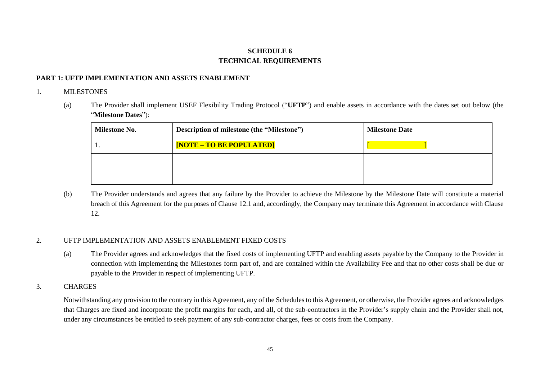# **SCHEDULE 6 TECHNICAL REQUIREMENTS**

### **PART 1: UFTP IMPLEMENTATION AND ASSETS ENABLEMENT**

### 1. MILESTONES

(a) The Provider shall implement USEF Flexibility Trading Protocol ("**UFTP**") and enable assets in accordance with the dates set out below (the "**Milestone Dates**"):

| <b>Milestone No.</b> | Description of milestone (the "Milestone") | <b>Milestone Date</b> |
|----------------------|--------------------------------------------|-----------------------|
|                      | <b>[NOTE – TO BE POPULATED]</b>            |                       |
|                      |                                            |                       |
|                      |                                            |                       |

(b) The Provider understands and agrees that any failure by the Provider to achieve the Milestone by the Milestone Date will constitute a material breach of this Agreement for the purposes of Clause 12.1 and, accordingly, the Company may terminate this Agreement in accordance with Clause 12.

### 2. UFTP IMPLEMENTATION AND ASSETS ENABLEMENT FIXED COSTS

(a) The Provider agrees and acknowledges that the fixed costs of implementing UFTP and enabling assets payable by the Company to the Provider in connection with implementing the Milestones form part of, and are contained within the Availability Fee and that no other costs shall be due or payable to the Provider in respect of implementing UFTP.

### 3. CHARGES

Notwithstanding any provision to the contrary in this Agreement, any of the Schedules to this Agreement, or otherwise, the Provider agrees and acknowledges that Charges are fixed and incorporate the profit margins for each, and all, of the sub-contractors in the Provider's supply chain and the Provider shall not, under any circumstances be entitled to seek payment of any sub-contractor charges, fees or costs from the Company.